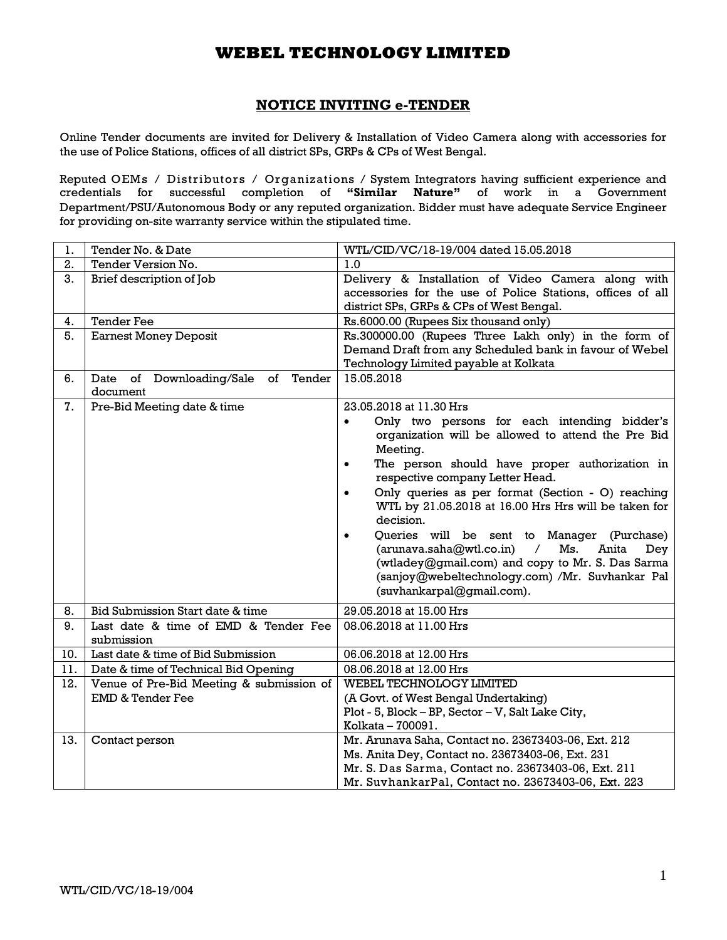## **NOTICE INVITING e-TENDER**

Online Tender documents are invited for Delivery & Installation of Video Camera along with accessories for the use of Police Stations, offices of all district SPs, GRPs & CPs of West Bengal.

Reputed OEMs / Distributors / Organizations / System Integrators having sufficient experience and credentials for successful completion of **"Similar Nature"** of work in a Government Department/PSU/Autonomous Body or any reputed organization. Bidder must have adequate Service Engineer for providing on-site warranty service within the stipulated time.

| 1.  | Tender No. & Date                                            | WTL/CID/VC/18-19/004 dated 15.05.2018                                                                                                                                                                                                                |
|-----|--------------------------------------------------------------|------------------------------------------------------------------------------------------------------------------------------------------------------------------------------------------------------------------------------------------------------|
| 2.  | Tender Version No.                                           | 1.0                                                                                                                                                                                                                                                  |
| 3.  | Brief description of Job                                     | Delivery & Installation of Video Camera along with<br>accessories for the use of Police Stations, offices of all<br>district SPs, GRPs & CPs of West Bengal.                                                                                         |
| 4.  | <b>Tender Fee</b>                                            | Rs.6000.00 (Rupees Six thousand only)                                                                                                                                                                                                                |
| 5.  | <b>Earnest Money Deposit</b>                                 | Rs.300000.00 (Rupees Three Lakh only) in the form of<br>Demand Draft from any Scheduled bank in favour of Webel<br>Technology Limited payable at Kolkata                                                                                             |
| 6.  | Downloading/Sale of<br>Tender<br>Date of<br>document         | 15.05.2018                                                                                                                                                                                                                                           |
| 7.  | Pre-Bid Meeting date & time                                  | 23.05.2018 at 11.30 Hrs                                                                                                                                                                                                                              |
|     |                                                              | Only two persons for each intending bidder's<br>$\bullet$<br>organization will be allowed to attend the Pre Bid<br>Meeting.                                                                                                                          |
|     |                                                              | The person should have proper authorization in<br>$\bullet$<br>respective company Letter Head.                                                                                                                                                       |
|     |                                                              | Only queries as per format (Section - O) reaching<br>$\bullet$<br>WTL by 21.05.2018 at 16.00 Hrs Hrs will be taken for<br>decision.                                                                                                                  |
|     |                                                              | Queries will be sent to Manager (Purchase)<br>٠<br>(arunava.saha@wtl.co.in)<br>$\sqrt{2}$<br>Ms.<br>Anita<br>Dey<br>(wtladey@gmail.com) and copy to Mr. S. Das Sarma<br>(sanjoy@webeltechnology.com) /Mr. Suvhankar Pal<br>(suvhankarpal@gmail.com). |
| 8.  | Bid Submission Start date & time                             | 29.05.2018 at 15.00 Hrs                                                                                                                                                                                                                              |
| 9.  | Last date & time of EMD & Tender Fee<br>submission           | 08.06.2018 at 11.00 Hrs                                                                                                                                                                                                                              |
| 10. | Last date & time of Bid Submission                           | 06.06.2018 at 12.00 Hrs                                                                                                                                                                                                                              |
| 11. | Date & time of Technical Bid Opening                         | 08.06.2018 at 12.00 Hrs                                                                                                                                                                                                                              |
| 12. | Venue of Pre-Bid Meeting & submission of<br>EMD & Tender Fee | WEBEL TECHNOLOGY LIMITED<br>(A Govt. of West Bengal Undertaking)<br>Plot - 5, Block - BP, Sector - V, Salt Lake City,<br>Kolkata - 700091.                                                                                                           |
| 13. | Contact person                                               | Mr. Arunava Saha, Contact no. 23673403-06, Ext. 212                                                                                                                                                                                                  |
|     |                                                              | Ms. Anita Dey, Contact no. 23673403-06, Ext. 231                                                                                                                                                                                                     |
|     |                                                              | Mr. S. Das Sarma, Contact no. 23673403-06, Ext. 211                                                                                                                                                                                                  |
|     |                                                              | Mr. SuvhankarPal, Contact no. 23673403-06, Ext. 223                                                                                                                                                                                                  |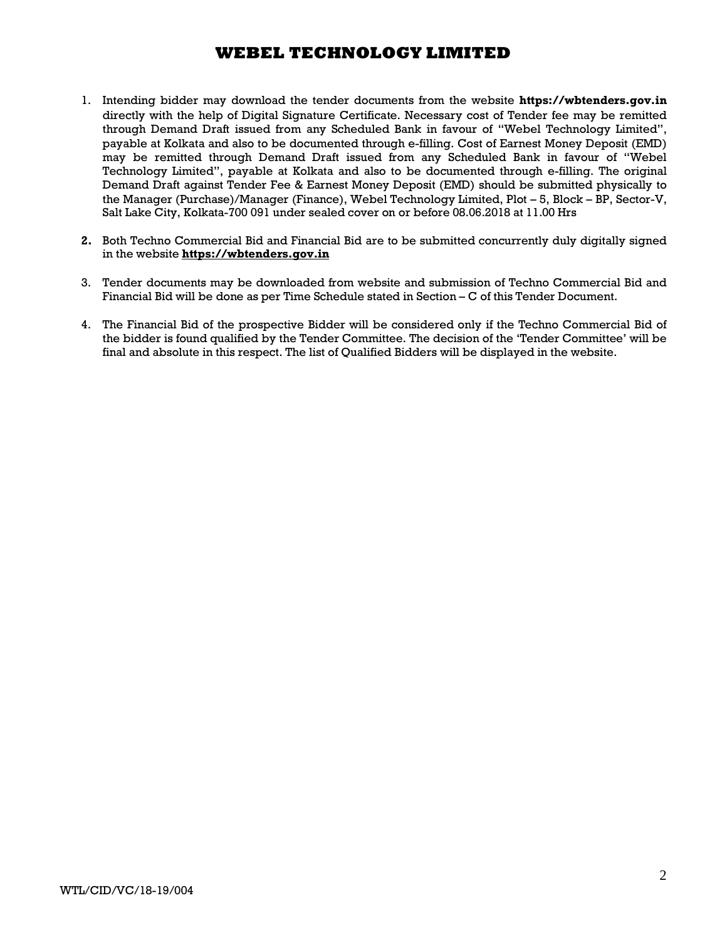- 1. Intending bidder may download the tender documents from the website **https://wbtenders.gov.in** directly with the help of Digital Signature Certificate. Necessary cost of Tender fee may be remitted through Demand Draft issued from any Scheduled Bank in favour of "Webel Technology Limited", payable at Kolkata and also to be documented through e-filling. Cost of Earnest Money Deposit (EMD) may be remitted through Demand Draft issued from any Scheduled Bank in favour of "Webel Technology Limited", payable at Kolkata and also to be documented through e-filling. The original Demand Draft against Tender Fee & Earnest Money Deposit (EMD) should be submitted physically to the Manager (Purchase)/Manager (Finance), Webel Technology Limited, Plot – 5, Block – BP, Sector-V, Salt Lake City, Kolkata-700 091 under sealed cover on or before 08.06.2018 at 11.00 Hrs
- **2.** Both Techno Commercial Bid and Financial Bid are to be submitted concurrently duly digitally signed in the website **https://wbtenders.gov.in**
- 3. Tender documents may be downloaded from website and submission of Techno Commercial Bid and Financial Bid will be done as per Time Schedule stated in Section – C of this Tender Document.
- 4. The Financial Bid of the prospective Bidder will be considered only if the Techno Commercial Bid of the bidder is found qualified by the Tender Committee. The decision of the 'Tender Committee' will be final and absolute in this respect. The list of Qualified Bidders will be displayed in the website.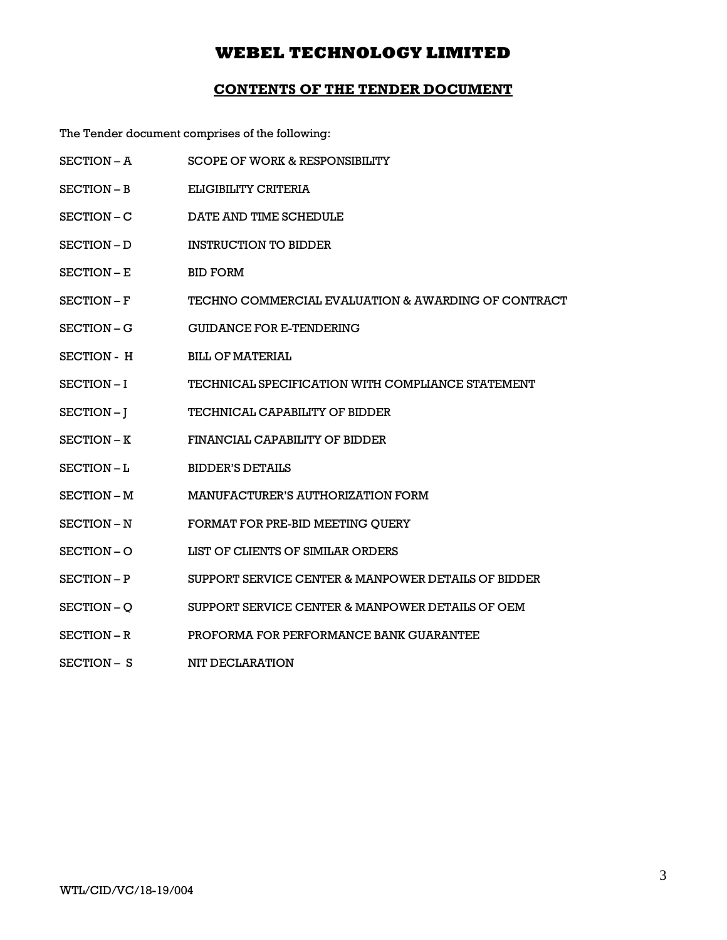## **CONTENTS OF THE TENDER DOCUMENT**

The Tender document comprises of the following:

- SECTION A SCOPE OF WORK & RESPONSIBILITY
- SECTION B ELIGIBILITY CRITERIA
- SECTION C DATE AND TIME SCHEDULE
- SECTION D INSTRUCTION TO BIDDER
- SECTION E BID FORM
- SECTION F TECHNO COMMERCIAL EVALUATION & AWARDING OF CONTRACT
- SECTION G GUIDANCE FOR E-TENDERING
- SECTION H BILL OF MATERIAL
- SECTION I TECHNICAL SPECIFICATION WITH COMPLIANCE STATEMENT
- SECTION J TECHNICAL CAPABILITY OF BIDDER
- SECTION K FINANCIAL CAPABILITY OF BIDDER
- SECTION L BIDDER'S DETAILS
- SECTION M MANUFACTURER'S AUTHORIZATION FORM
- SECTION N FORMAT FOR PRE-BID MEETING QUERY
- SECTION O LIST OF CLIENTS OF SIMILAR ORDERS
- SECTION P SUPPORT SERVICE CENTER & MANPOWER DETAILS OF BIDDER
- SECTION Q SUPPORT SERVICE CENTER & MANPOWER DETAILS OF OEM
- SECTION R PROFORMA FOR PERFORMANCE BANK GUARANTEE
- SECTION S NIT DECLARATION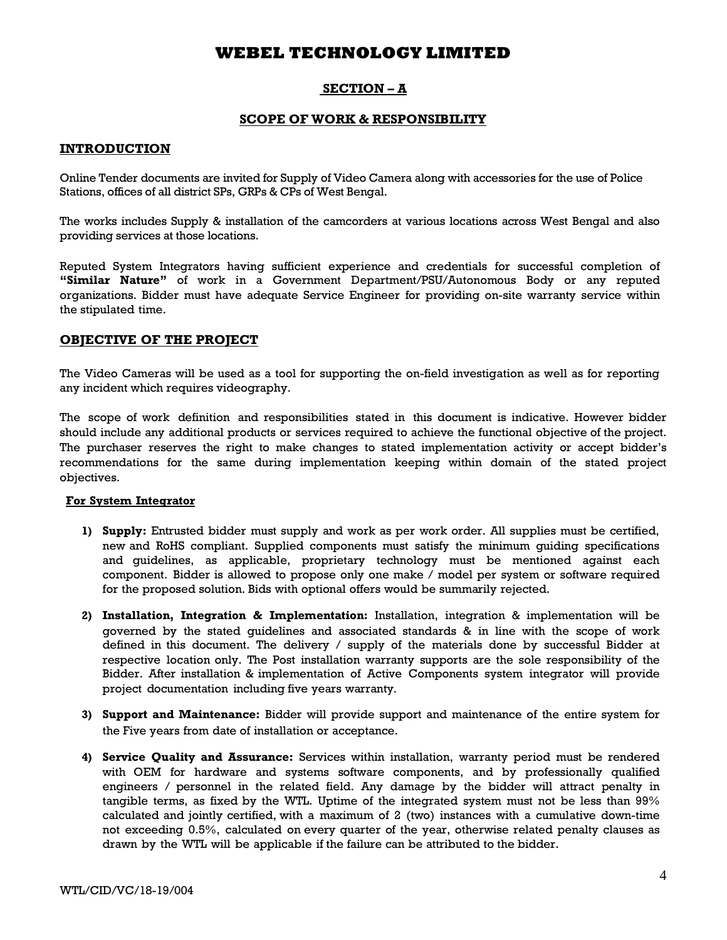## **SECTION – A**

### **SCOPE OF WORK & RESPONSIBILITY**

### **INTRODUCTION**

Online Tender documents are invited for Supply of Video Camera along with accessories for the use of Police Stations, offices of all district SPs, GRPs & CPs of West Bengal.

The works includes Supply & installation of the camcorders at various locations across West Bengal and also providing services at those locations.

Reputed System Integrators having sufficient experience and credentials for successful completion of **"Similar Nature"** of work in a Government Department/PSU/Autonomous Body or any reputed organizations. Bidder must have adequate Service Engineer for providing on-site warranty service within the stipulated time.

### **OBJECTIVE OF THE PROJECT**

The Video Cameras will be used as a tool for supporting the on-field investigation as well as for reporting any incident which requires videography.

The scope of work definition and responsibilities stated in this document is indicative. However bidder should include any additional products or services required to achieve the functional objective of the project. The purchaser reserves the right to make changes to stated implementation activity or accept bidder's recommendations for the same during implementation keeping within domain of the stated project objectives.

### **For System Integrator**

- **1) Supply:** Entrusted bidder must supply and work as per work order. All supplies must be certified, new and RoHS compliant. Supplied components must satisfy the minimum guiding specifications and guidelines, as applicable, proprietary technology must be mentioned against each component. Bidder is allowed to propose only one make / model per system or software required for the proposed solution. Bids with optional offers would be summarily rejected.
- **2) Installation, Integration & Implementation:** Installation, integration & implementation will be governed by the stated guidelines and associated standards & in line with the scope of work defined in this document. The delivery / supply of the materials done by successful Bidder at respective location only. The Post installation warranty supports are the sole responsibility of the Bidder. After installation & implementation of Active Components system integrator will provide project documentation including five years warranty.
- **3) Support and Maintenance:** Bidder will provide support and maintenance of the entire system for the Five years from date of installation or acceptance.
- **4) Service Quality and Assurance:** Services within installation, warranty period must be rendered with OEM for hardware and systems software components, and by professionally qualified engineers / personnel in the related field. Any damage by the bidder will attract penalty in tangible terms, as fixed by the WTL. Uptime of the integrated system must not be less than 99% calculated and jointly certified, with a maximum of 2 (two) instances with a cumulative down-time not exceeding 0.5%, calculated on every quarter of the year, otherwise related penalty clauses as drawn by the WTL will be applicable if the failure can be attributed to the bidder.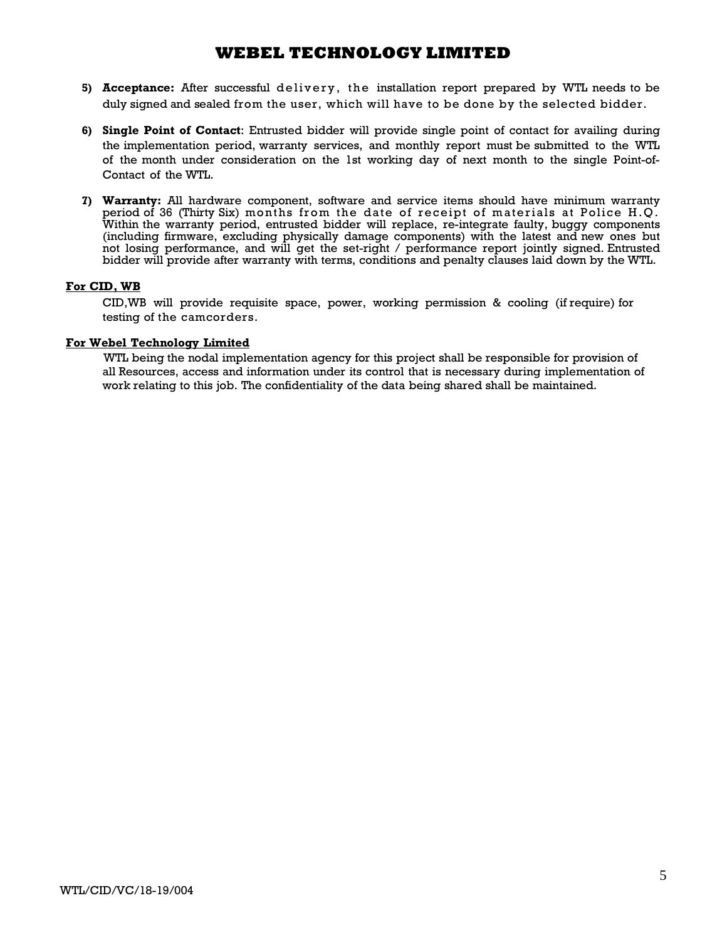- 5) **Acceptance:** After successful delivery, the installation report prepared by WTL needs to be duly signed and sealed from the user, which will have to be done by the selected bidder.
- **6) Single Point of Contact**: Entrusted bidder will provide single point of contact for availing during the implementation period, warranty services, and monthly report must be submitted to the WTL of the month under consideration on the 1st working day of next month to the single Point-of-Contact of the WTL.
- **7) Warranty:** All hardware component, software and service items should have minimum warranty period of 36 (Thirty Six) months from the date of receipt of materials at Police H.Q. Within the warranty period, entrusted bidder will replace, re-integrate faulty, buggy components (including firmware, excluding physically damage components) with the latest and new ones but not losing performance, and will get the set-right / performance report jointly signed. Entrusted bidder will provide after warranty with terms, conditions and penalty clauses laid down by the WTL.

### **For CID, WB**

CID,WB will provide requisite space, power, working permission & cooling (if require) for testing of the camcorders.

### **For Webel Technology Limited**

WTL being the nodal implementation agency for this project shall be responsible for provision of all Resources, access and information under its control that is necessary during implementation of work relating to this job. The confidentiality of the data being shared shall be maintained.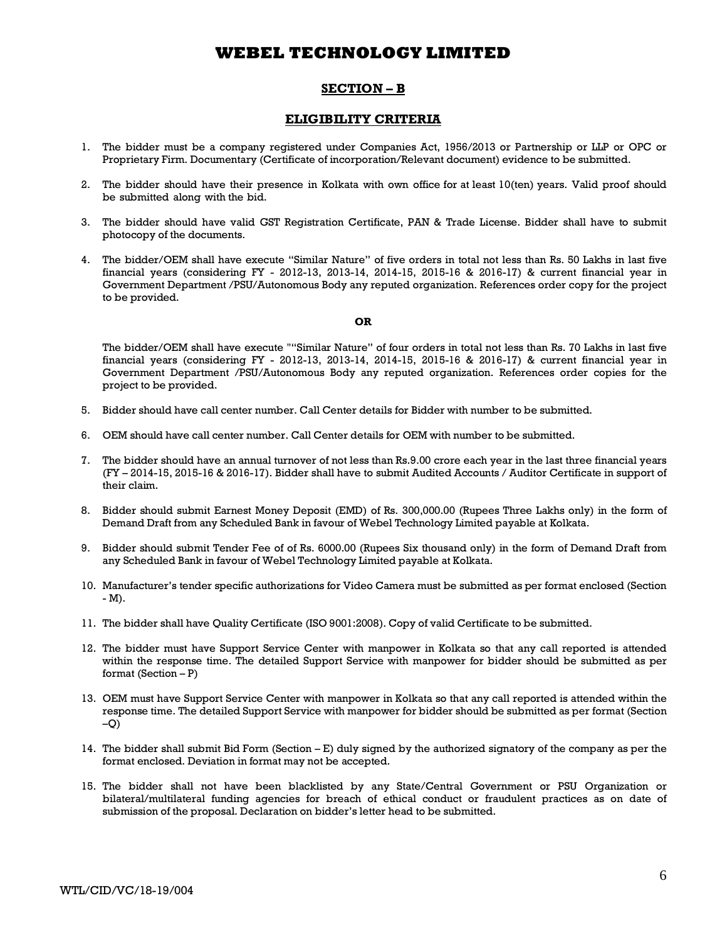## **SECTION – B**

### **ELIGIBILITY CRITERIA**

- 1. The bidder must be a company registered under Companies Act, 1956/2013 or Partnership or LLP or OPC or Proprietary Firm. Documentary (Certificate of incorporation/Relevant document) evidence to be submitted.
- 2. The bidder should have their presence in Kolkata with own office for at least 10(ten) years. Valid proof should be submitted along with the bid.
- 3. The bidder should have valid GST Registration Certificate, PAN & Trade License. Bidder shall have to submit photocopy of the documents.
- 4. The bidder/OEM shall have execute "Similar Nature" of five orders in total not less than Rs. 50 Lakhs in last five financial years (considering FY - 2012-13, 2013-14, 2014-15, 2015-16 & 2016-17) & current financial year in Government Department /PSU/Autonomous Body any reputed organization. References order copy for the project to be provided.

#### **OR**

The bidder/OEM shall have execute ""Similar Nature" of four orders in total not less than Rs. 70 Lakhs in last five financial years (considering FY - 2012-13, 2013-14, 2014-15, 2015-16 & 2016-17) & current financial year in Government Department /PSU/Autonomous Body any reputed organization. References order copies for the project to be provided.

- 5. Bidder should have call center number. Call Center details for Bidder with number to be submitted.
- 6. OEM should have call center number. Call Center details for OEM with number to be submitted.
- 7. The bidder should have an annual turnover of not less than Rs.9.00 crore each year in the last three financial years (FY – 2014-15, 2015-16 & 2016-17). Bidder shall have to submit Audited Accounts / Auditor Certificate in support of their claim.
- 8. Bidder should submit Earnest Money Deposit (EMD) of Rs. 300,000.00 (Rupees Three Lakhs only) in the form of Demand Draft from any Scheduled Bank in favour of Webel Technology Limited payable at Kolkata.
- 9. Bidder should submit Tender Fee of of Rs. 6000.00 (Rupees Six thousand only) in the form of Demand Draft from any Scheduled Bank in favour of Webel Technology Limited payable at Kolkata.
- 10. Manufacturer's tender specific authorizations for Video Camera must be submitted as per format enclosed (Section - M).
- 11. The bidder shall have Quality Certificate (ISO 9001:2008). Copy of valid Certificate to be submitted.
- 12. The bidder must have Support Service Center with manpower in Kolkata so that any call reported is attended within the response time. The detailed Support Service with manpower for bidder should be submitted as per format (Section  $- P$ )
- 13. OEM must have Support Service Center with manpower in Kolkata so that any call reported is attended within the response time. The detailed Support Service with manpower for bidder should be submitted as per format (Section  $-O$
- 14. The bidder shall submit Bid Form (Section E) duly signed by the authorized signatory of the company as per the format enclosed. Deviation in format may not be accepted.
- 15. The bidder shall not have been blacklisted by any State/Central Government or PSU Organization or bilateral/multilateral funding agencies for breach of ethical conduct or fraudulent practices as on date of submission of the proposal. Declaration on bidder's letter head to be submitted.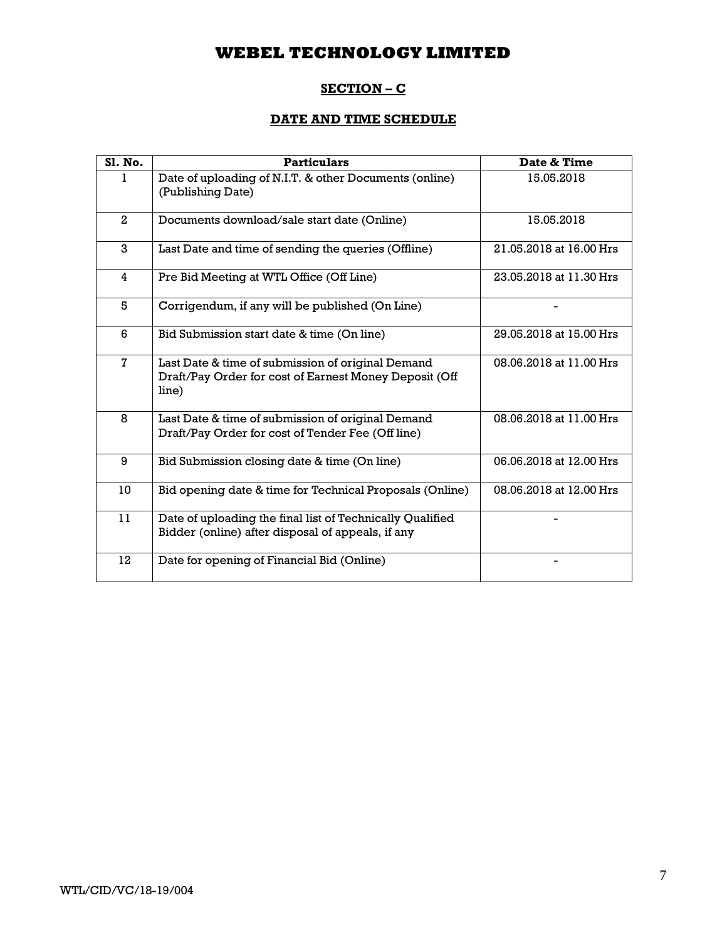## **SECTION – C**

# **DATE AND TIME SCHEDULE**

| Sl. No.      | <b>Particulars</b>                                                                                                   | Date & Time             |
|--------------|----------------------------------------------------------------------------------------------------------------------|-------------------------|
|              | Date of uploading of N.I.T. & other Documents (online)<br>(Publishing Date)                                          | 15.05.2018              |
| $\mathbf{2}$ | Documents download/sale start date (Online)                                                                          | 15.05.2018              |
| 3            | Last Date and time of sending the queries (Offline)                                                                  | 21.05.2018 at 16.00 Hrs |
| 4            | Pre Bid Meeting at WTL Office (Off Line)                                                                             | 23.05.2018 at 11.30 Hrs |
| 5            | Corrigendum, if any will be published (On Line)                                                                      |                         |
| 6            | Bid Submission start date & time (On line)                                                                           | 29.05.2018 at 15.00 Hrs |
| 7            | Last Date & time of submission of original Demand<br>Draft/Pay Order for cost of Earnest Money Deposit (Off<br>line) | 08.06.2018 at 11.00 Hrs |
| 8            | Last Date & time of submission of original Demand<br>Draft/Pay Order for cost of Tender Fee (Off line)               | 08.06.2018 at 11.00 Hrs |
| 9            | Bid Submission closing date & time (On line)                                                                         | 06.06.2018 at 12.00 Hrs |
| 10           | Bid opening date & time for Technical Proposals (Online)                                                             | 08.06.2018 at 12.00 Hrs |
| 11           | Date of uploading the final list of Technically Qualified<br>Bidder (online) after disposal of appeals, if any       |                         |
| 12           | Date for opening of Financial Bid (Online)                                                                           |                         |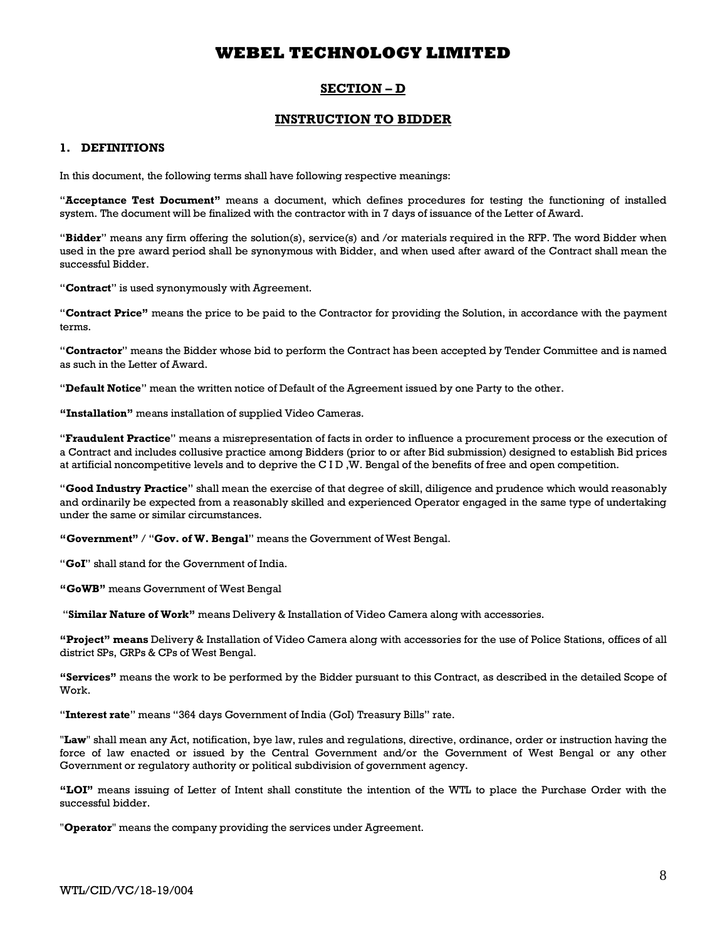## **SECTION – D**

### **INSTRUCTION TO BIDDER**

### **1. DEFINITIONS**

In this document, the following terms shall have following respective meanings:

"**Acceptance Test Document"** means a document, which defines procedures for testing the functioning of installed system. The document will be finalized with the contractor with in 7 days of issuance of the Letter of Award.

"**Bidder**" means any firm offering the solution(s), service(s) and /or materials required in the RFP. The word Bidder when used in the pre award period shall be synonymous with Bidder, and when used after award of the Contract shall mean the successful Bidder.

"**Contract**" is used synonymously with Agreement.

"**Contract Price"** means the price to be paid to the Contractor for providing the Solution, in accordance with the payment terms.

"**Contractor**" means the Bidder whose bid to perform the Contract has been accepted by Tender Committee and is named as such in the Letter of Award.

"**Default Notice**" mean the written notice of Default of the Agreement issued by one Party to the other.

**"Installation"** means installation of supplied Video Cameras.

"**Fraudulent Practice**" means a misrepresentation of facts in order to influence a procurement process or the execution of a Contract and includes collusive practice among Bidders (prior to or after Bid submission) designed to establish Bid prices at artificial noncompetitive levels and to deprive the C I D ,W. Bengal of the benefits of free and open competition.

"**Good Industry Practice**" shall mean the exercise of that degree of skill, diligence and prudence which would reasonably and ordinarily be expected from a reasonably skilled and experienced Operator engaged in the same type of undertaking under the same or similar circumstances.

**"Government"** / "**Gov. of W. Bengal**" means the Government of West Bengal.

"**GoI**" shall stand for the Government of India.

**"GoWB"** means Government of West Bengal

"**Similar Nature of Work"** means Delivery & Installation of Video Camera along with accessories.

**"Project" means** Delivery & Installation of Video Camera along with accessories for the use of Police Stations, offices of all district SPs, GRPs & CPs of West Bengal.

**"Services"** means the work to be performed by the Bidder pursuant to this Contract, as described in the detailed Scope of Work.

"**Interest rate**" means "364 days Government of India (GoI) Treasury Bills" rate.

"**Law**" shall mean any Act, notification, bye law, rules and regulations, directive, ordinance, order or instruction having the force of law enacted or issued by the Central Government and/or the Government of West Bengal or any other Government or regulatory authority or political subdivision of government agency.

**"LOI"** means issuing of Letter of Intent shall constitute the intention of the WTL to place the Purchase Order with the successful bidder.

"**Operator**" means the company providing the services under Agreement.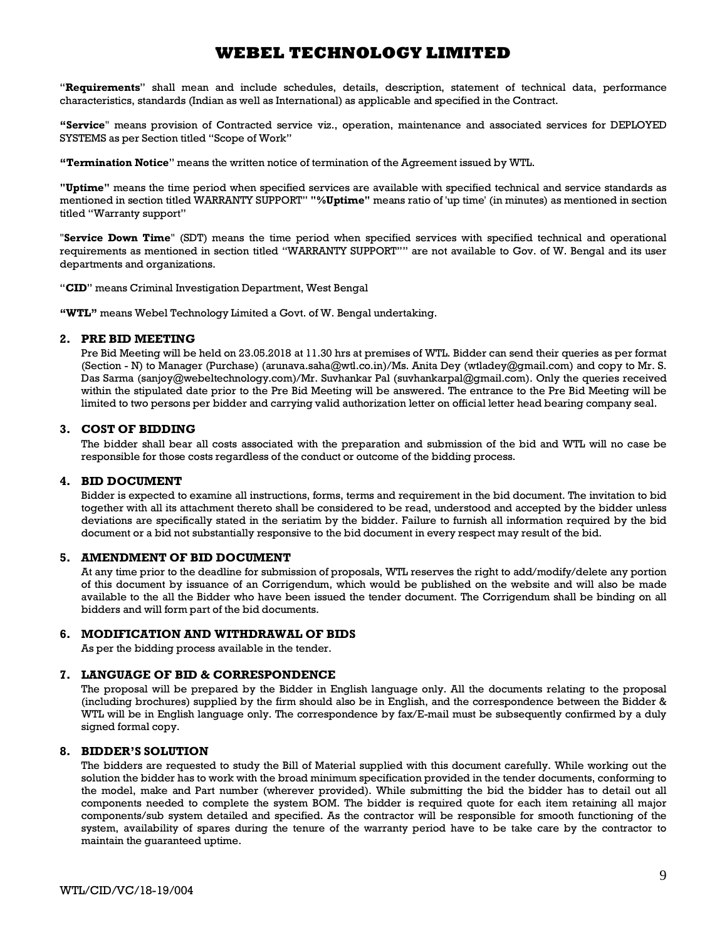"**Requirements**" shall mean and include schedules, details, description, statement of technical data, performance characteristics, standards (Indian as well as International) as applicable and specified in the Contract.

**"Service**" means provision of Contracted service viz., operation, maintenance and associated services for DEPLOYED SYSTEMS as per Section titled "Scope of Work"

**"Termination Notice**" means the written notice of termination of the Agreement issued by WTL.

**"Uptime"** means the time period when specified services are available with specified technical and service standards as mentioned in section titled WARRANTY SUPPORT" **"%Uptime"** means ratio of 'up time' (in minutes) as mentioned in section titled "Warranty support"

"**Service Down Time**" (SDT) means the time period when specified services with specified technical and operational requirements as mentioned in section titled "WARRANTY SUPPORT"" are not available to Gov. of W. Bengal and its user departments and organizations.

"**CID**" means Criminal Investigation Department, West Bengal

**"WTL"** means Webel Technology Limited a Govt. of W. Bengal undertaking.

#### **2. PRE BID MEETING**

Pre Bid Meeting will be held on 23.05.2018 at 11.30 hrs at premises of WTL. Bidder can send their queries as per format (Section - N) to Manager (Purchase) (arunava.saha@wtl.co.in)/Ms. Anita Dey (wtladey@gmail.com) and copy to Mr. S. Das Sarma (sanjoy@webeltechnology.com)/Mr. Suvhankar Pal (suvhankarpal@gmail.com). Only the queries received within the stipulated date prior to the Pre Bid Meeting will be answered. The entrance to the Pre Bid Meeting will be limited to two persons per bidder and carrying valid authorization letter on official letter head bearing company seal.

#### **3. COST OF BIDDING**

The bidder shall bear all costs associated with the preparation and submission of the bid and WTL will no case be responsible for those costs regardless of the conduct or outcome of the bidding process.

#### **4. BID DOCUMENT**

Bidder is expected to examine all instructions, forms, terms and requirement in the bid document. The invitation to bid together with all its attachment thereto shall be considered to be read, understood and accepted by the bidder unless deviations are specifically stated in the seriatim by the bidder. Failure to furnish all information required by the bid document or a bid not substantially responsive to the bid document in every respect may result of the bid.

#### **5. AMENDMENT OF BID DOCUMENT**

At any time prior to the deadline for submission of proposals, WTL reserves the right to add/modify/delete any portion of this document by issuance of an Corrigendum, which would be published on the website and will also be made available to the all the Bidder who have been issued the tender document. The Corrigendum shall be binding on all bidders and will form part of the bid documents.

#### **6. MODIFICATION AND WITHDRAWAL OF BIDS**

As per the bidding process available in the tender.

#### **7. LANGUAGE OF BID & CORRESPONDENCE**

The proposal will be prepared by the Bidder in English language only. All the documents relating to the proposal (including brochures) supplied by the firm should also be in English, and the correspondence between the Bidder & WTL will be in English language only. The correspondence by fax/E-mail must be subsequently confirmed by a duly signed formal copy.

#### **8. BIDDER'S SOLUTION**

The bidders are requested to study the Bill of Material supplied with this document carefully. While working out the solution the bidder has to work with the broad minimum specification provided in the tender documents, conforming to the model, make and Part number (wherever provided). While submitting the bid the bidder has to detail out all components needed to complete the system BOM. The bidder is required quote for each item retaining all major components/sub system detailed and specified. As the contractor will be responsible for smooth functioning of the system, availability of spares during the tenure of the warranty period have to be take care by the contractor to maintain the guaranteed uptime.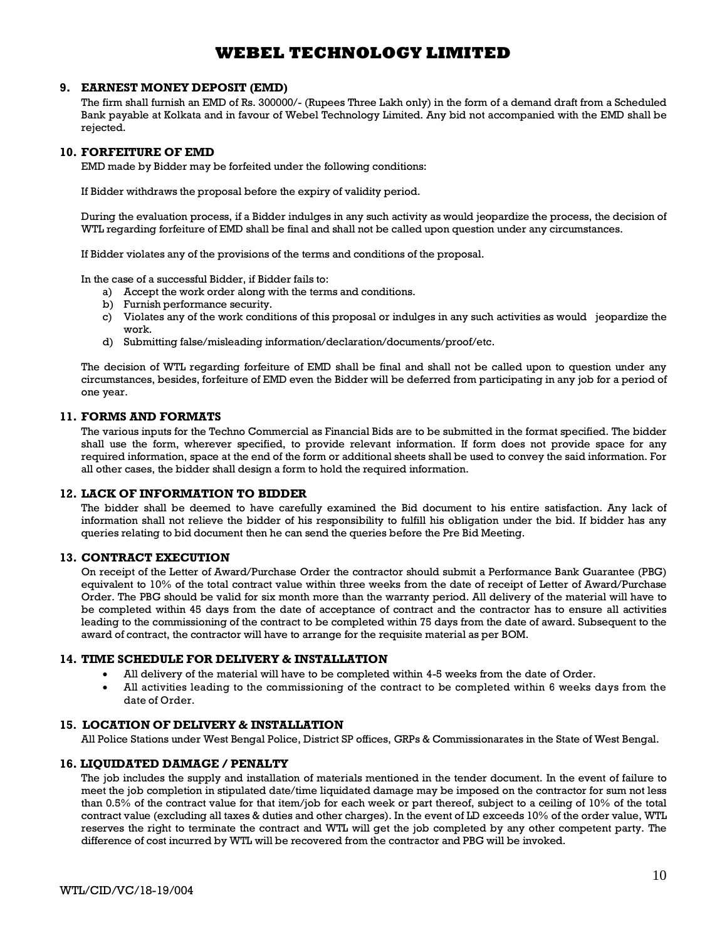#### **9. EARNEST MONEY DEPOSIT (EMD)**

The firm shall furnish an EMD of Rs. 300000/- (Rupees Three Lakh only) in the form of a demand draft from a Scheduled Bank payable at Kolkata and in favour of Webel Technology Limited. Any bid not accompanied with the EMD shall be rejected.

### **10. FORFEITURE OF EMD**

EMD made by Bidder may be forfeited under the following conditions:

If Bidder withdraws the proposal before the expiry of validity period.

During the evaluation process, if a Bidder indulges in any such activity as would jeopardize the process, the decision of WTL regarding forfeiture of EMD shall be final and shall not be called upon question under any circumstances.

If Bidder violates any of the provisions of the terms and conditions of the proposal.

In the case of a successful Bidder, if Bidder fails to:

- a) Accept the work order along with the terms and conditions.
- b) Furnish performance security.
- c) Violates any of the work conditions of this proposal or indulges in any such activities as would jeopardize the work.
- d) Submitting false/misleading information/declaration/documents/proof/etc.

The decision of WTL regarding forfeiture of EMD shall be final and shall not be called upon to question under any circumstances, besides, forfeiture of EMD even the Bidder will be deferred from participating in any job for a period of one year.

#### **11. FORMS AND FORMATS**

The various inputs for the Techno Commercial as Financial Bids are to be submitted in the format specified. The bidder shall use the form, wherever specified, to provide relevant information. If form does not provide space for any required information, space at the end of the form or additional sheets shall be used to convey the said information. For all other cases, the bidder shall design a form to hold the required information.

#### **12. LACK OF INFORMATION TO BIDDER**

The bidder shall be deemed to have carefully examined the Bid document to his entire satisfaction. Any lack of information shall not relieve the bidder of his responsibility to fulfill his obligation under the bid. If bidder has any queries relating to bid document then he can send the queries before the Pre Bid Meeting.

### **13. CONTRACT EXECUTION**

On receipt of the Letter of Award/Purchase Order the contractor should submit a Performance Bank Guarantee (PBG) equivalent to 10% of the total contract value within three weeks from the date of receipt of Letter of Award/Purchase Order. The PBG should be valid for six month more than the warranty period. All delivery of the material will have to be completed within 45 days from the date of acceptance of contract and the contractor has to ensure all activities leading to the commissioning of the contract to be completed within 75 days from the date of award. Subsequent to the award of contract, the contractor will have to arrange for the requisite material as per BOM.

### **14. TIME SCHEDULE FOR DELIVERY & INSTALLATION**

- · All delivery of the material will have to be completed within 4-5 weeks from the date of Order.
- All activities leading to the commissioning of the contract to be completed within 6 weeks days from the date of Order.

### **15. LOCATION OF DELIVERY & INSTALLATION**

All Police Stations under West Bengal Police, District SP offices, GRPs & Commissionarates in the State of West Bengal.

### **16. LIQUIDATED DAMAGE / PENALTY**

The job includes the supply and installation of materials mentioned in the tender document. In the event of failure to meet the job completion in stipulated date/time liquidated damage may be imposed on the contractor for sum not less than 0.5% of the contract value for that item/job for each week or part thereof, subject to a ceiling of 10% of the total contract value (excluding all taxes & duties and other charges). In the event of LD exceeds 10% of the order value, WTL reserves the right to terminate the contract and WTL will get the job completed by any other competent party. The difference of cost incurred by WTL will be recovered from the contractor and PBG will be invoked.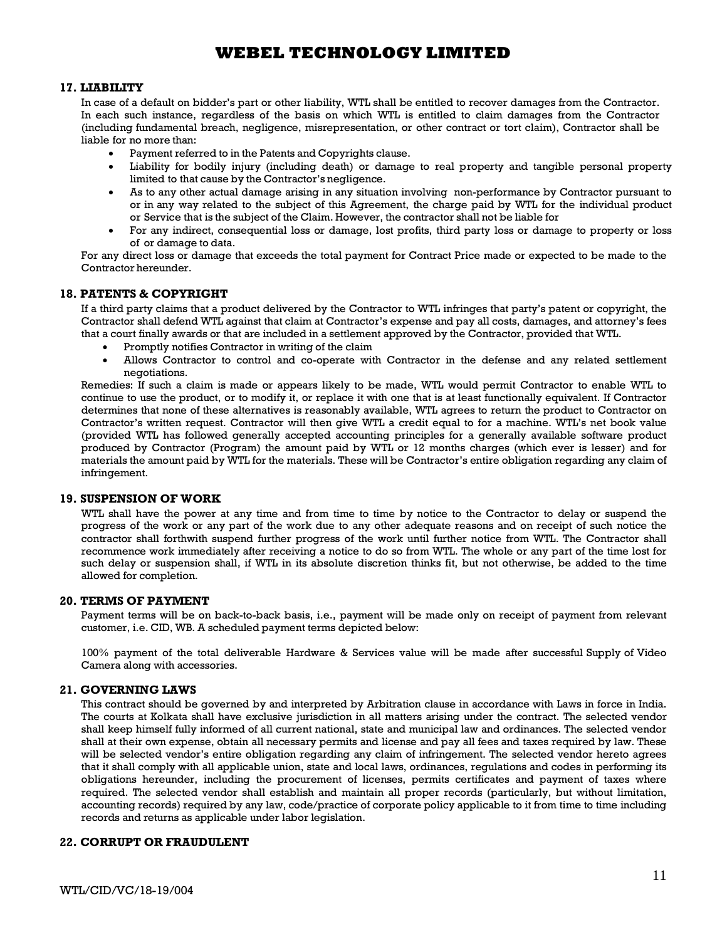#### **17. LIABILITY**

In case of a default on bidder's part or other liability, WTL shall be entitled to recover damages from the Contractor. In each such instance, regardless of the basis on which WTL is entitled to claim damages from the Contractor (including fundamental breach, negligence, misrepresentation, or other contract or tort claim), Contractor shall be liable for no more than:

- · Payment referred to in the Patents and Copyrights clause.
- · Liability for bodily injury (including death) or damage to real property and tangible personal property limited to that cause by the Contractor's negligence.
- · As to any other actual damage arising in any situation involving non-performance by Contractor pursuant to or in any way related to the subject of this Agreement, the charge paid by WTL for the individual product or Service that is the subject of the Claim. However, the contractor shall not be liable for
- · For any indirect, consequential loss or damage, lost profits, third party loss or damage to property or loss of or damage to data.

For any direct loss or damage that exceeds the total payment for Contract Price made or expected to be made to the Contractor hereunder.

### **18. PATENTS & COPYRIGHT**

If a third party claims that a product delivered by the Contractor to WTL infringes that party's patent or copyright, the Contractor shall defend WTL against that claim at Contractor's expense and pay all costs, damages, and attorney's fees that a court finally awards or that are included in a settlement approved by the Contractor, provided that WTL.

- Promptly notifies Contractor in writing of the claim
- · Allows Contractor to control and co-operate with Contractor in the defense and any related settlement negotiations.

Remedies: If such a claim is made or appears likely to be made, WTL would permit Contractor to enable WTL to continue to use the product, or to modify it, or replace it with one that is at least functionally equivalent. If Contractor determines that none of these alternatives is reasonably available, WTL agrees to return the product to Contractor on Contractor's written request. Contractor will then give WTL a credit equal to for a machine. WTL's net book value (provided WTL has followed generally accepted accounting principles for a generally available software product produced by Contractor (Program) the amount paid by WTL or 12 months charges (which ever is lesser) and for materials the amount paid by WTL for the materials. These will be Contractor's entire obligation regarding any claim of infringement.

### **19. SUSPENSION OF WORK**

WTL shall have the power at any time and from time to time by notice to the Contractor to delay or suspend the progress of the work or any part of the work due to any other adequate reasons and on receipt of such notice the contractor shall forthwith suspend further progress of the work until further notice from WTL. The Contractor shall recommence work immediately after receiving a notice to do so from WTL. The whole or any part of the time lost for such delay or suspension shall, if WTL in its absolute discretion thinks fit, but not otherwise, be added to the time allowed for completion.

#### **20. TERMS OF PAYMENT**

Payment terms will be on back-to-back basis, i.e., payment will be made only on receipt of payment from relevant customer, i.e. CID, WB. A scheduled payment terms depicted below:

100% payment of the total deliverable Hardware & Services value will be made after successful Supply of Video Camera along with accessories.

#### **21. GOVERNING LAWS**

This contract should be governed by and interpreted by Arbitration clause in accordance with Laws in force in India. The courts at Kolkata shall have exclusive jurisdiction in all matters arising under the contract. The selected vendor shall keep himself fully informed of all current national, state and municipal law and ordinances. The selected vendor shall at their own expense, obtain all necessary permits and license and pay all fees and taxes required by law. These will be selected vendor's entire obligation regarding any claim of infringement. The selected vendor hereto agrees that it shall comply with all applicable union, state and local laws, ordinances, regulations and codes in performing its obligations hereunder, including the procurement of licenses, permits certificates and payment of taxes where required. The selected vendor shall establish and maintain all proper records (particularly, but without limitation, accounting records) required by any law, code/practice of corporate policy applicable to it from time to time including records and returns as applicable under labor legislation.

### **22. CORRUPT OR FRAUDULENT**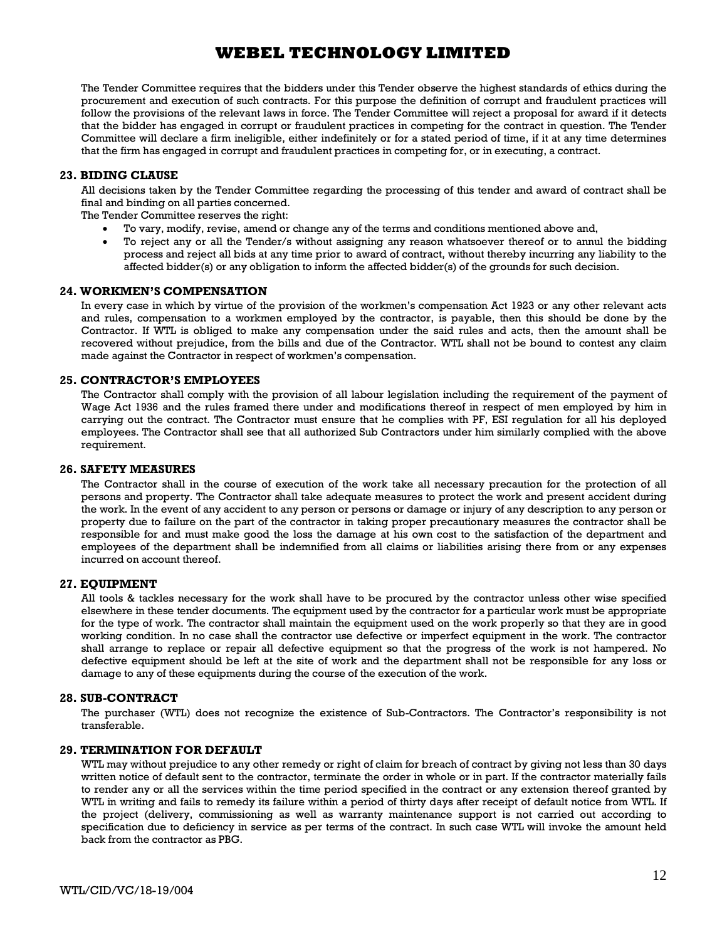The Tender Committee requires that the bidders under this Tender observe the highest standards of ethics during the procurement and execution of such contracts. For this purpose the definition of corrupt and fraudulent practices will follow the provisions of the relevant laws in force. The Tender Committee will reject a proposal for award if it detects that the bidder has engaged in corrupt or fraudulent practices in competing for the contract in question. The Tender Committee will declare a firm ineligible, either indefinitely or for a stated period of time, if it at any time determines that the firm has engaged in corrupt and fraudulent practices in competing for, or in executing, a contract.

### **23. BIDING CLAUSE**

All decisions taken by the Tender Committee regarding the processing of this tender and award of contract shall be final and binding on all parties concerned.

The Tender Committee reserves the right:

- · To vary, modify, revise, amend or change any of the terms and conditions mentioned above and,
- To reject any or all the Tender/s without assigning any reason whatsoever thereof or to annul the bidding process and reject all bids at any time prior to award of contract, without thereby incurring any liability to the affected bidder(s) or any obligation to inform the affected bidder(s) of the grounds for such decision.

#### **24. WORKMEN'S COMPENSATION**

In every case in which by virtue of the provision of the workmen's compensation Act 1923 or any other relevant acts and rules, compensation to a workmen employed by the contractor, is payable, then this should be done by the Contractor. If WTL is obliged to make any compensation under the said rules and acts, then the amount shall be recovered without prejudice, from the bills and due of the Contractor. WTL shall not be bound to contest any claim made against the Contractor in respect of workmen's compensation.

#### **25. CONTRACTOR'S EMPLOYEES**

The Contractor shall comply with the provision of all labour legislation including the requirement of the payment of Wage Act 1936 and the rules framed there under and modifications thereof in respect of men employed by him in carrying out the contract. The Contractor must ensure that he complies with PF, ESI regulation for all his deployed employees. The Contractor shall see that all authorized Sub Contractors under him similarly complied with the above requirement.

#### **26. SAFETY MEASURES**

The Contractor shall in the course of execution of the work take all necessary precaution for the protection of all persons and property. The Contractor shall take adequate measures to protect the work and present accident during the work. In the event of any accident to any person or persons or damage or injury of any description to any person or property due to failure on the part of the contractor in taking proper precautionary measures the contractor shall be responsible for and must make good the loss the damage at his own cost to the satisfaction of the department and employees of the department shall be indemnified from all claims or liabilities arising there from or any expenses incurred on account thereof.

#### **27. EQUIPMENT**

All tools & tackles necessary for the work shall have to be procured by the contractor unless other wise specified elsewhere in these tender documents. The equipment used by the contractor for a particular work must be appropriate for the type of work. The contractor shall maintain the equipment used on the work properly so that they are in good working condition. In no case shall the contractor use defective or imperfect equipment in the work. The contractor shall arrange to replace or repair all defective equipment so that the progress of the work is not hampered. No defective equipment should be left at the site of work and the department shall not be responsible for any loss or damage to any of these equipments during the course of the execution of the work.

#### **28. SUB-CONTRACT**

The purchaser (WTL) does not recognize the existence of Sub-Contractors. The Contractor's responsibility is not transferable.

#### **29. TERMINATION FOR DEFAULT**

WTL may without prejudice to any other remedy or right of claim for breach of contract by giving not less than 30 days written notice of default sent to the contractor, terminate the order in whole or in part. If the contractor materially fails to render any or all the services within the time period specified in the contract or any extension thereof granted by WTL in writing and fails to remedy its failure within a period of thirty days after receipt of default notice from WTL. If the project (delivery, commissioning as well as warranty maintenance support is not carried out according to specification due to deficiency in service as per terms of the contract. In such case WTL will invoke the amount held back from the contractor as PBG.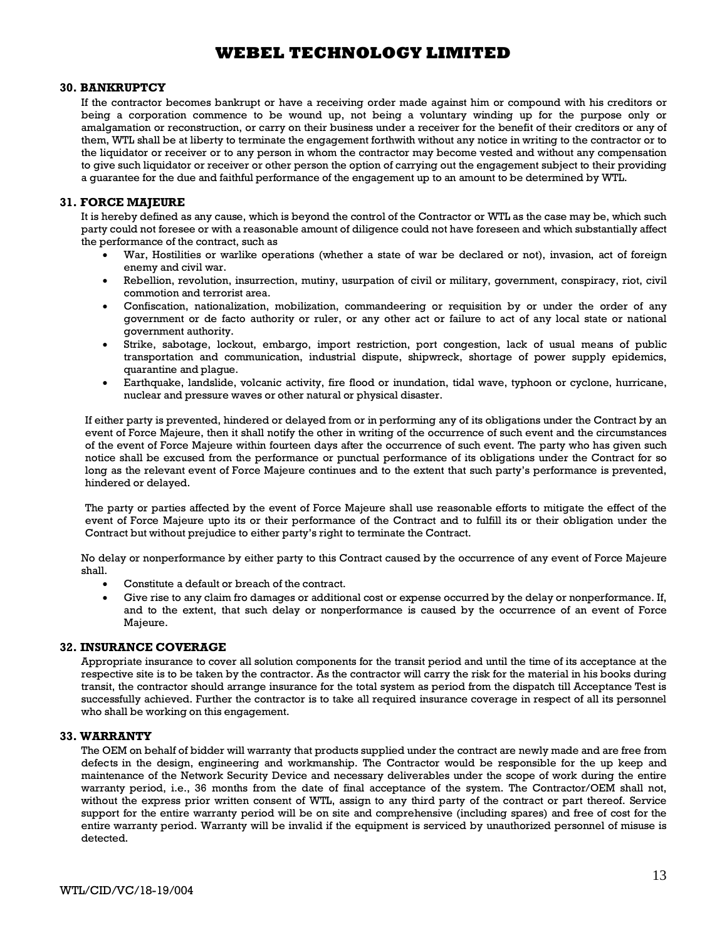#### **30. BANKRUPTCY**

If the contractor becomes bankrupt or have a receiving order made against him or compound with his creditors or being a corporation commence to be wound up, not being a voluntary winding up for the purpose only or amalgamation or reconstruction, or carry on their business under a receiver for the benefit of their creditors or any of them, WTL shall be at liberty to terminate the engagement forthwith without any notice in writing to the contractor or to the liquidator or receiver or to any person in whom the contractor may become vested and without any compensation to give such liquidator or receiver or other person the option of carrying out the engagement subject to their providing a guarantee for the due and faithful performance of the engagement up to an amount to be determined by WTL.

### **31. FORCE MAJEURE**

It is hereby defined as any cause, which is beyond the control of the Contractor or WTL as the case may be, which such party could not foresee or with a reasonable amount of diligence could not have foreseen and which substantially affect the performance of the contract, such as

- · War, Hostilities or warlike operations (whether a state of war be declared or not), invasion, act of foreign enemy and civil war.
- Rebellion, revolution, insurrection, mutiny, usurpation of civil or military, government, conspiracy, riot, civil commotion and terrorist area.
- Confiscation, nationalization, mobilization, commandeering or requisition by or under the order of any government or de facto authority or ruler, or any other act or failure to act of any local state or national government authority.
- Strike, sabotage, lockout, embargo, import restriction, port congestion, lack of usual means of public transportation and communication, industrial dispute, shipwreck, shortage of power supply epidemics, quarantine and plague.
- Earthquake, landslide, volcanic activity, fire flood or inundation, tidal wave, typhoon or cyclone, hurricane, nuclear and pressure waves or other natural or physical disaster.

If either party is prevented, hindered or delayed from or in performing any of its obligations under the Contract by an event of Force Majeure, then it shall notify the other in writing of the occurrence of such event and the circumstances of the event of Force Majeure within fourteen days after the occurrence of such event. The party who has given such notice shall be excused from the performance or punctual performance of its obligations under the Contract for so long as the relevant event of Force Majeure continues and to the extent that such party's performance is prevented, hindered or delayed.

The party or parties affected by the event of Force Majeure shall use reasonable efforts to mitigate the effect of the event of Force Majeure upto its or their performance of the Contract and to fulfill its or their obligation under the Contract but without prejudice to either party's right to terminate the Contract.

No delay or nonperformance by either party to this Contract caused by the occurrence of any event of Force Majeure shall.

- Constitute a default or breach of the contract.
- · Give rise to any claim fro damages or additional cost or expense occurred by the delay or nonperformance. If, and to the extent, that such delay or nonperformance is caused by the occurrence of an event of Force Majeure.

#### **32. INSURANCE COVERAGE**

Appropriate insurance to cover all solution components for the transit period and until the time of its acceptance at the respective site is to be taken by the contractor. As the contractor will carry the risk for the material in his books during transit, the contractor should arrange insurance for the total system as period from the dispatch till Acceptance Test is successfully achieved. Further the contractor is to take all required insurance coverage in respect of all its personnel who shall be working on this engagement.

#### **33. WARRANTY**

The OEM on behalf of bidder will warranty that products supplied under the contract are newly made and are free from defects in the design, engineering and workmanship. The Contractor would be responsible for the up keep and maintenance of the Network Security Device and necessary deliverables under the scope of work during the entire warranty period, i.e., 36 months from the date of final acceptance of the system. The Contractor/OEM shall not, without the express prior written consent of WTL, assign to any third party of the contract or part thereof. Service support for the entire warranty period will be on site and comprehensive (including spares) and free of cost for the entire warranty period. Warranty will be invalid if the equipment is serviced by unauthorized personnel of misuse is detected.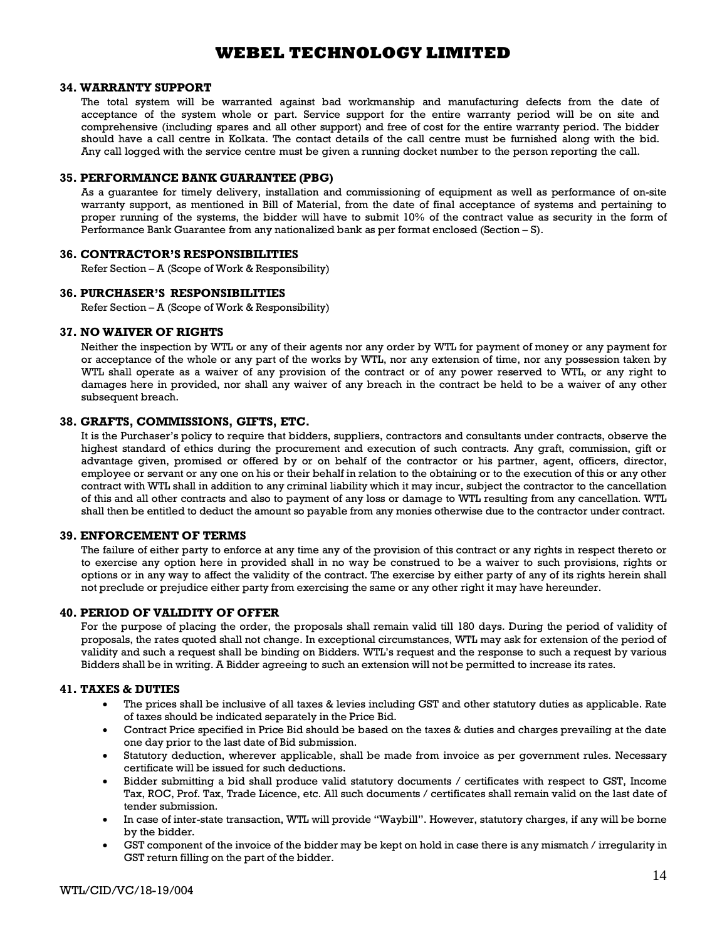#### **34. WARRANTY SUPPORT**

The total system will be warranted against bad workmanship and manufacturing defects from the date of acceptance of the system whole or part. Service support for the entire warranty period will be on site and comprehensive (including spares and all other support) and free of cost for the entire warranty period. The bidder should have a call centre in Kolkata. The contact details of the call centre must be furnished along with the bid. Any call logged with the service centre must be given a running docket number to the person reporting the call.

#### **35. PERFORMANCE BANK GUARANTEE (PBG)**

As a guarantee for timely delivery, installation and commissioning of equipment as well as performance of on-site warranty support, as mentioned in Bill of Material, from the date of final acceptance of systems and pertaining to proper running of the systems, the bidder will have to submit 10% of the contract value as security in the form of Performance Bank Guarantee from any nationalized bank as per format enclosed (Section – S).

#### **36. CONTRACTOR'S RESPONSIBILITIES**

Refer Section – A (Scope of Work & Responsibility)

#### **36. PURCHASER'S RESPONSIBILITIES**

Refer Section – A (Scope of Work & Responsibility)

#### **37. NO WAIVER OF RIGHTS**

Neither the inspection by WTL or any of their agents nor any order by WTL for payment of money or any payment for or acceptance of the whole or any part of the works by WTL, nor any extension of time, nor any possession taken by WTL shall operate as a waiver of any provision of the contract or of any power reserved to WTL, or any right to damages here in provided, nor shall any waiver of any breach in the contract be held to be a waiver of any other subsequent breach.

#### **38. GRAFTS, COMMISSIONS, GIFTS, ETC.**

It is the Purchaser's policy to require that bidders, suppliers, contractors and consultants under contracts, observe the highest standard of ethics during the procurement and execution of such contracts. Any graft, commission, gift or advantage given, promised or offered by or on behalf of the contractor or his partner, agent, officers, director, employee or servant or any one on his or their behalf in relation to the obtaining or to the execution of this or any other contract with WTL shall in addition to any criminal liability which it may incur, subject the contractor to the cancellation of this and all other contracts and also to payment of any loss or damage to WTL resulting from any cancellation. WTL shall then be entitled to deduct the amount so payable from any monies otherwise due to the contractor under contract.

### **39. ENFORCEMENT OF TERMS**

The failure of either party to enforce at any time any of the provision of this contract or any rights in respect thereto or to exercise any option here in provided shall in no way be construed to be a waiver to such provisions, rights or options or in any way to affect the validity of the contract. The exercise by either party of any of its rights herein shall not preclude or prejudice either party from exercising the same or any other right it may have hereunder.

#### **40. PERIOD OF VALIDITY OF OFFER**

For the purpose of placing the order, the proposals shall remain valid till 180 days. During the period of validity of proposals, the rates quoted shall not change. In exceptional circumstances, WTL may ask for extension of the period of validity and such a request shall be binding on Bidders. WTL's request and the response to such a request by various Bidders shall be in writing. A Bidder agreeing to such an extension will not be permitted to increase its rates.

#### **41. TAXES & DUTIES**

- · The prices shall be inclusive of all taxes & levies including GST and other statutory duties as applicable. Rate of taxes should be indicated separately in the Price Bid.
- Contract Price specified in Price Bid should be based on the taxes & duties and charges prevailing at the date one day prior to the last date of Bid submission.
- Statutory deduction, wherever applicable, shall be made from invoice as per government rules. Necessary certificate will be issued for such deductions.
- Bidder submitting a bid shall produce valid statutory documents / certificates with respect to GST, Income Tax, ROC, Prof. Tax, Trade Licence, etc. All such documents / certificates shall remain valid on the last date of tender submission.
- In case of inter-state transaction, WTL will provide "Waybill". However, statutory charges, if any will be borne by the bidder.
- GST component of the invoice of the bidder may be kept on hold in case there is any mismatch / irregularity in GST return filling on the part of the bidder.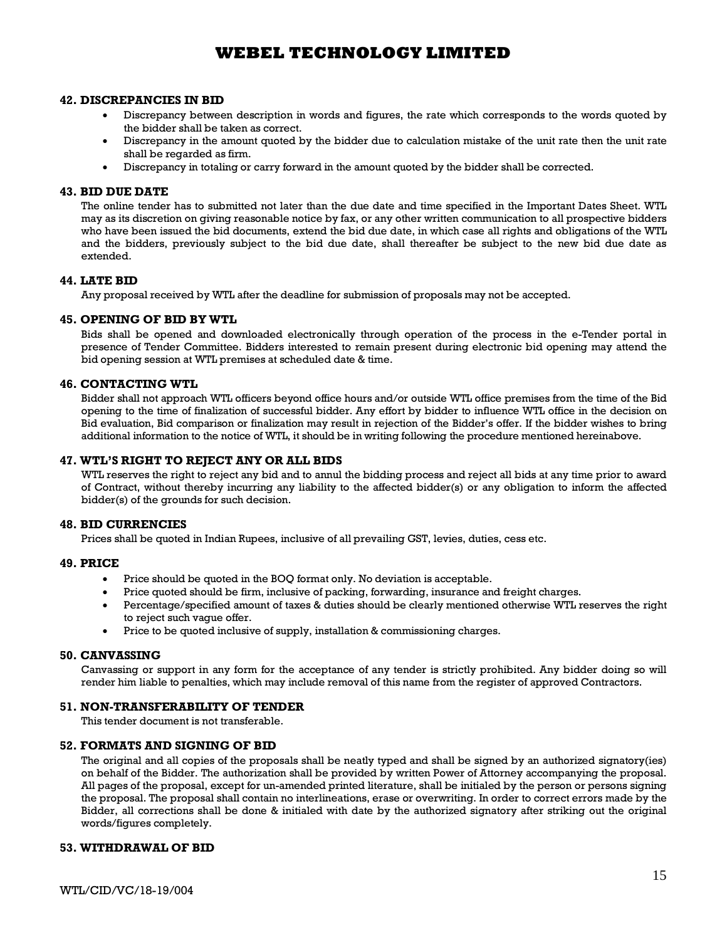#### **42. DISCREPANCIES IN BID**

- Discrepancy between description in words and figures, the rate which corresponds to the words quoted by the bidder shall be taken as correct.
- Discrepancy in the amount quoted by the bidder due to calculation mistake of the unit rate then the unit rate shall be regarded as firm.
- · Discrepancy in totaling or carry forward in the amount quoted by the bidder shall be corrected.

#### **43. BID DUE DATE**

The online tender has to submitted not later than the due date and time specified in the Important Dates Sheet. WTL may as its discretion on giving reasonable notice by fax, or any other written communication to all prospective bidders who have been issued the bid documents, extend the bid due date, in which case all rights and obligations of the WTL and the bidders, previously subject to the bid due date, shall thereafter be subject to the new bid due date as extended.

#### **44. LATE BID**

Any proposal received by WTL after the deadline for submission of proposals may not be accepted.

#### **45. OPENING OF BID BY WTL**

Bids shall be opened and downloaded electronically through operation of the process in the e-Tender portal in presence of Tender Committee. Bidders interested to remain present during electronic bid opening may attend the bid opening session at WTL premises at scheduled date & time.

#### **46. CONTACTING WTL**

Bidder shall not approach WTL officers beyond office hours and/or outside WTL office premises from the time of the Bid opening to the time of finalization of successful bidder. Any effort by bidder to influence WTL office in the decision on Bid evaluation, Bid comparison or finalization may result in rejection of the Bidder's offer. If the bidder wishes to bring additional information to the notice of WTL, it should be in writing following the procedure mentioned hereinabove.

#### **47. WTL'S RIGHT TO REJECT ANY OR ALL BIDS**

WTL reserves the right to reject any bid and to annul the bidding process and reject all bids at any time prior to award of Contract, without thereby incurring any liability to the affected bidder(s) or any obligation to inform the affected bidder(s) of the grounds for such decision.

#### **48. BID CURRENCIES**

Prices shall be quoted in Indian Rupees, inclusive of all prevailing GST, levies, duties, cess etc.

#### **49. PRICE**

- · Price should be quoted in the BOQ format only. No deviation is acceptable.
- Price quoted should be firm, inclusive of packing, forwarding, insurance and freight charges.
- · Percentage/specified amount of taxes & duties should be clearly mentioned otherwise WTL reserves the right to reject such vague offer.
- Price to be quoted inclusive of supply, installation & commissioning charges.

#### **50. CANVASSING**

Canvassing or support in any form for the acceptance of any tender is strictly prohibited. Any bidder doing so will render him liable to penalties, which may include removal of this name from the register of approved Contractors.

#### **51. NON-TRANSFERABILITY OF TENDER**

This tender document is not transferable.

#### **52. FORMATS AND SIGNING OF BID**

The original and all copies of the proposals shall be neatly typed and shall be signed by an authorized signatory(ies) on behalf of the Bidder. The authorization shall be provided by written Power of Attorney accompanying the proposal. All pages of the proposal, except for un-amended printed literature, shall be initialed by the person or persons signing the proposal. The proposal shall contain no interlineations, erase or overwriting. In order to correct errors made by the Bidder, all corrections shall be done & initialed with date by the authorized signatory after striking out the original words/figures completely.

#### **53. WITHDRAWAL OF BID**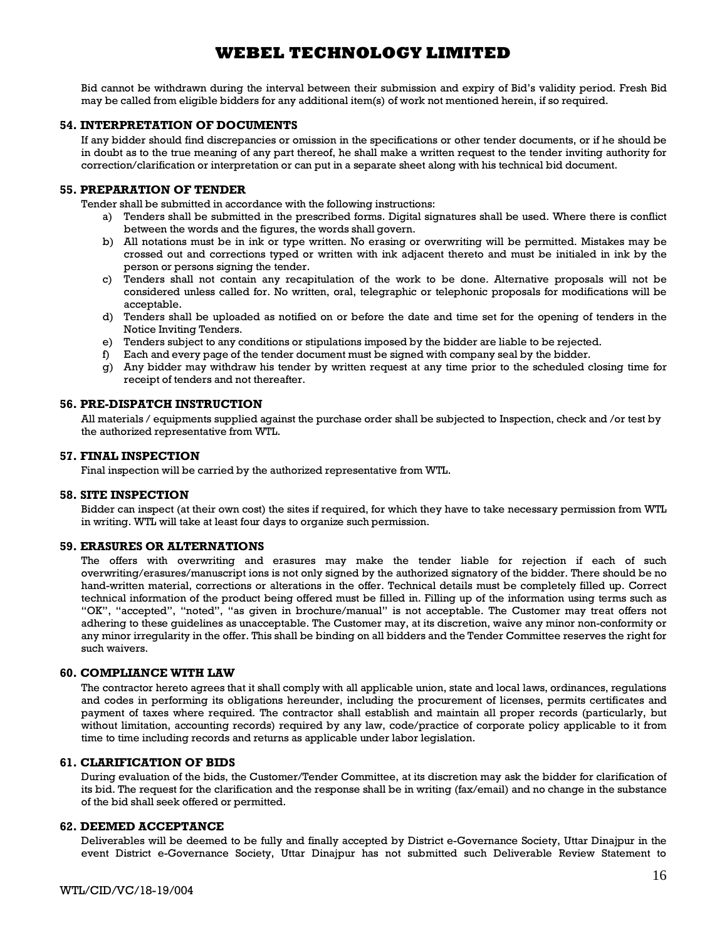Bid cannot be withdrawn during the interval between their submission and expiry of Bid's validity period. Fresh Bid may be called from eligible bidders for any additional item(s) of work not mentioned herein, if so required.

#### **54. INTERPRETATION OF DOCUMENTS**

If any bidder should find discrepancies or omission in the specifications or other tender documents, or if he should be in doubt as to the true meaning of any part thereof, he shall make a written request to the tender inviting authority for correction/clarification or interpretation or can put in a separate sheet along with his technical bid document.

#### **55. PREPARATION OF TENDER**

Tender shall be submitted in accordance with the following instructions:

- a) Tenders shall be submitted in the prescribed forms. Digital signatures shall be used. Where there is conflict between the words and the figures, the words shall govern.
- b) All notations must be in ink or type written. No erasing or overwriting will be permitted. Mistakes may be crossed out and corrections typed or written with ink adjacent thereto and must be initialed in ink by the person or persons signing the tender.
- c) Tenders shall not contain any recapitulation of the work to be done. Alternative proposals will not be considered unless called for. No written, oral, telegraphic or telephonic proposals for modifications will be acceptable.
- d) Tenders shall be uploaded as notified on or before the date and time set for the opening of tenders in the Notice Inviting Tenders.
- e) Tenders subject to any conditions or stipulations imposed by the bidder are liable to be rejected.
- f) Each and every page of the tender document must be signed with company seal by the bidder.
- g) Any bidder may withdraw his tender by written request at any time prior to the scheduled closing time for receipt of tenders and not thereafter.

#### **56. PRE-DISPATCH INSTRUCTION**

All materials / equipments supplied against the purchase order shall be subjected to Inspection, check and /or test by the authorized representative from WTL.

#### **57. FINAL INSPECTION**

Final inspection will be carried by the authorized representative from WTL.

#### **58. SITE INSPECTION**

Bidder can inspect (at their own cost) the sites if required, for which they have to take necessary permission from WTL in writing. WTL will take at least four days to organize such permission.

#### **59. ERASURES OR ALTERNATIONS**

The offers with overwriting and erasures may make the tender liable for rejection if each of such overwriting/erasures/manuscript ions is not only signed by the authorized signatory of the bidder. There should be no hand-written material, corrections or alterations in the offer. Technical details must be completely filled up. Correct technical information of the product being offered must be filled in. Filling up of the information using terms such as "OK", "accepted", "noted", "as given in brochure/manual" is not acceptable. The Customer may treat offers not adhering to these guidelines as unacceptable. The Customer may, at its discretion, waive any minor non-conformity or any minor irregularity in the offer. This shall be binding on all bidders and the Tender Committee reserves the right for such waivers.

#### **60. COMPLIANCE WITH LAW**

The contractor hereto agrees that it shall comply with all applicable union, state and local laws, ordinances, regulations and codes in performing its obligations hereunder, including the procurement of licenses, permits certificates and payment of taxes where required. The contractor shall establish and maintain all proper records (particularly, but without limitation, accounting records) required by any law, code/practice of corporate policy applicable to it from time to time including records and returns as applicable under labor legislation.

#### **61. CLARIFICATION OF BIDS**

During evaluation of the bids, the Customer/Tender Committee, at its discretion may ask the bidder for clarification of its bid. The request for the clarification and the response shall be in writing (fax/email) and no change in the substance of the bid shall seek offered or permitted.

#### **62. DEEMED ACCEPTANCE**

Deliverables will be deemed to be fully and finally accepted by District e-Governance Society, Uttar Dinajpur in the event District e-Governance Society, Uttar Dinajpur has not submitted such Deliverable Review Statement to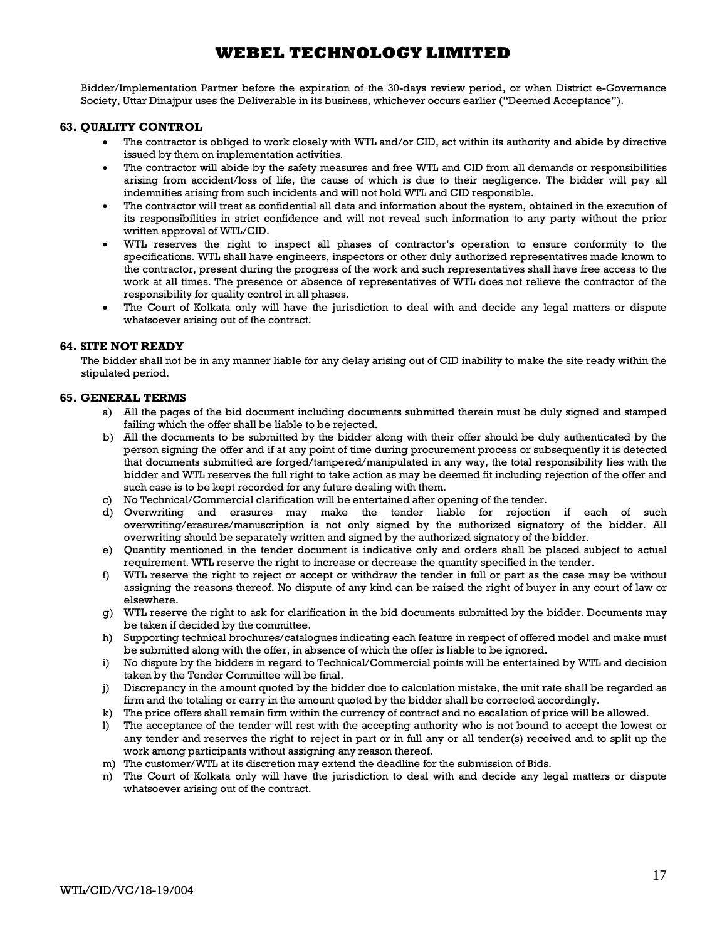Bidder/Implementation Partner before the expiration of the 30-days review period, or when District e-Governance Society, Uttar Dinajpur uses the Deliverable in its business, whichever occurs earlier ("Deemed Acceptance").

#### **63. QUALITY CONTROL**

- The contractor is obliged to work closely with WTL and/or CID, act within its authority and abide by directive issued by them on implementation activities.
- The contractor will abide by the safety measures and free WTL and CID from all demands or responsibilities arising from accident/loss of life, the cause of which is due to their negligence. The bidder will pay all indemnities arising from such incidents and will not hold WTL and CID responsible.
- The contractor will treat as confidential all data and information about the system, obtained in the execution of its responsibilities in strict confidence and will not reveal such information to any party without the prior written approval of WTL/CID.
- WTL reserves the right to inspect all phases of contractor's operation to ensure conformity to the specifications. WTL shall have engineers, inspectors or other duly authorized representatives made known to the contractor, present during the progress of the work and such representatives shall have free access to the work at all times. The presence or absence of representatives of WTL does not relieve the contractor of the responsibility for quality control in all phases.
- The Court of Kolkata only will have the jurisdiction to deal with and decide any legal matters or dispute whatsoever arising out of the contract.

#### **64. SITE NOT READY**

The bidder shall not be in any manner liable for any delay arising out of CID inability to make the site ready within the stipulated period.

### **65. GENERAL TERMS**

- a) All the pages of the bid document including documents submitted therein must be duly signed and stamped failing which the offer shall be liable to be rejected.
- b) All the documents to be submitted by the bidder along with their offer should be duly authenticated by the person signing the offer and if at any point of time during procurement process or subsequently it is detected that documents submitted are forged/tampered/manipulated in any way, the total responsibility lies with the bidder and WTL reserves the full right to take action as may be deemed fit including rejection of the offer and such case is to be kept recorded for any future dealing with them.
- c) No Technical/Commercial clarification will be entertained after opening of the tender.
- d) Overwriting and erasures may make the tender liable for rejection if each of such overwriting/erasures/manuscription is not only signed by the authorized signatory of the bidder. All overwriting should be separately written and signed by the authorized signatory of the bidder.
- e) Quantity mentioned in the tender document is indicative only and orders shall be placed subject to actual requirement. WTL reserve the right to increase or decrease the quantity specified in the tender.
- f) WTL reserve the right to reject or accept or withdraw the tender in full or part as the case may be without assigning the reasons thereof. No dispute of any kind can be raised the right of buyer in any court of law or elsewhere.
- g) WTL reserve the right to ask for clarification in the bid documents submitted by the bidder. Documents may be taken if decided by the committee.
- h) Supporting technical brochures/catalogues indicating each feature in respect of offered model and make must be submitted along with the offer, in absence of which the offer is liable to be ignored.
- i) No dispute by the bidders in regard to Technical/Commercial points will be entertained by WTL and decision taken by the Tender Committee will be final.
- j) Discrepancy in the amount quoted by the bidder due to calculation mistake, the unit rate shall be regarded as firm and the totaling or carry in the amount quoted by the bidder shall be corrected accordingly.
- k) The price offers shall remain firm within the currency of contract and no escalation of price will be allowed.
- l) The acceptance of the tender will rest with the accepting authority who is not bound to accept the lowest or any tender and reserves the right to reject in part or in full any or all tender(s) received and to split up the work among participants without assigning any reason thereof.
- m) The customer/WTL at its discretion may extend the deadline for the submission of Bids.
- n) The Court of Kolkata only will have the jurisdiction to deal with and decide any legal matters or dispute whatsoever arising out of the contract.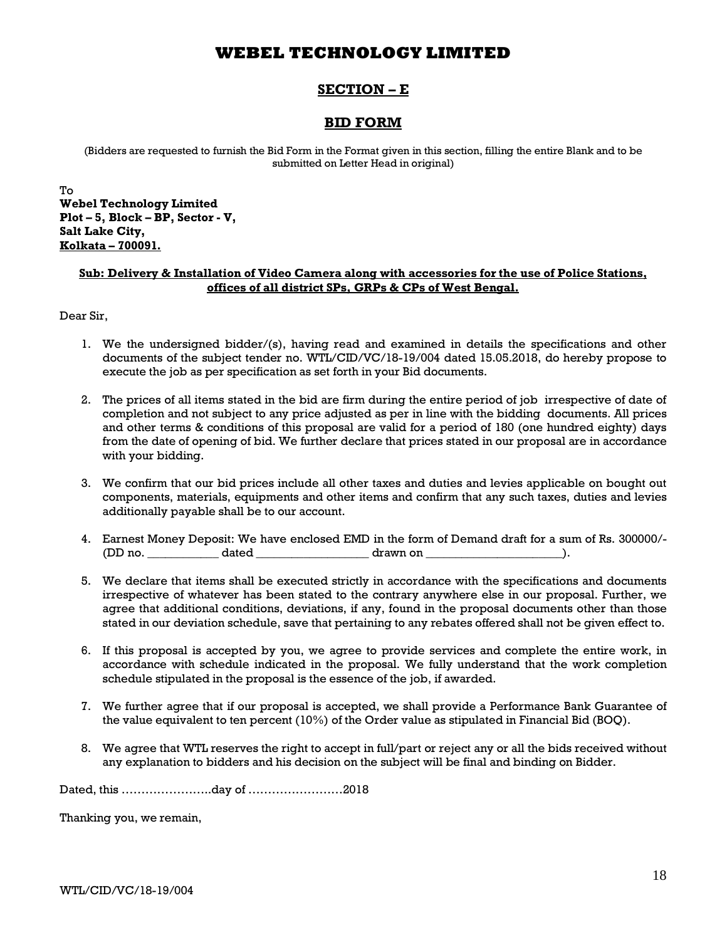## **SECTION – E**

## **BID FORM**

(Bidders are requested to furnish the Bid Form in the Format given in this section, filling the entire Blank and to be submitted on Letter Head in original)

To **Webel Technology Limited Plot – 5, Block – BP, Sector - V, Salt Lake City, Kolkata – 700091.**

### **Sub: Delivery & Installation of Video Camera along with accessories for the use of Police Stations, offices of all district SPs, GRPs & CPs of West Bengal.**

Dear Sir,

- 1. We the undersigned bidder/(s), having read and examined in details the specifications and other documents of the subject tender no. WTL/CID/VC/18-19/004 dated 15.05.2018, do hereby propose to execute the job as per specification as set forth in your Bid documents.
- 2. The prices of all items stated in the bid are firm during the entire period of job irrespective of date of completion and not subject to any price adjusted as per in line with the bidding documents. All prices and other terms & conditions of this proposal are valid for a period of 180 (one hundred eighty) days from the date of opening of bid. We further declare that prices stated in our proposal are in accordance with your bidding.
- 3. We confirm that our bid prices include all other taxes and duties and levies applicable on bought out components, materials, equipments and other items and confirm that any such taxes, duties and levies additionally payable shall be to our account.
- 4. Earnest Money Deposit: We have enclosed EMD in the form of Demand draft for a sum of Rs. 300000/- (DD no. \_\_\_\_\_\_\_\_\_\_\_\_ dated \_\_\_\_\_\_\_\_\_\_\_\_\_\_\_\_\_\_\_ drawn on \_\_\_\_\_\_\_\_\_\_\_\_\_\_\_\_\_\_\_\_\_\_\_).
- 5. We declare that items shall be executed strictly in accordance with the specifications and documents irrespective of whatever has been stated to the contrary anywhere else in our proposal. Further, we agree that additional conditions, deviations, if any, found in the proposal documents other than those stated in our deviation schedule, save that pertaining to any rebates offered shall not be given effect to.
- 6. If this proposal is accepted by you, we agree to provide services and complete the entire work, in accordance with schedule indicated in the proposal. We fully understand that the work completion schedule stipulated in the proposal is the essence of the job, if awarded.
- 7. We further agree that if our proposal is accepted, we shall provide a Performance Bank Guarantee of the value equivalent to ten percent (10%) of the Order value as stipulated in Financial Bid (BOQ).
- 8. We agree that WTL reserves the right to accept in full/part or reject any or all the bids received without any explanation to bidders and his decision on the subject will be final and binding on Bidder.

Dated, this …………………..day of ……………………2018

Thanking you, we remain,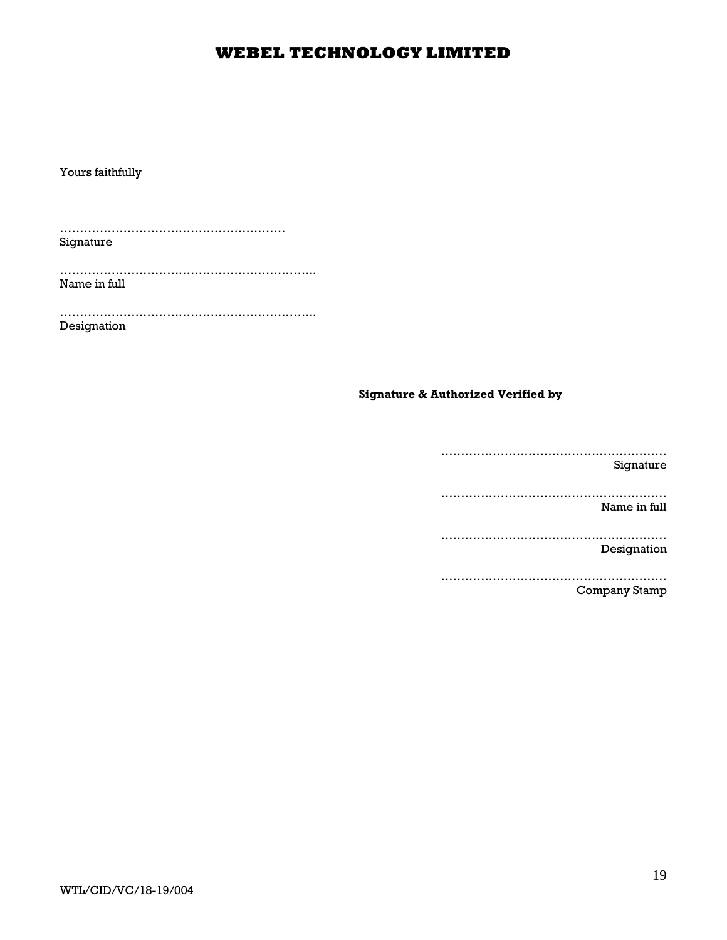Yours faithfully

………………………………………………… Signature

……………………………………………………….. Name in full

……………………………………………………….. Designation

## **Signature & Authorized Verified by**

………………………………………………… Signature ………………………………………………… Name in full ………………………………………………… Designation ………………………………………………… Company Stamp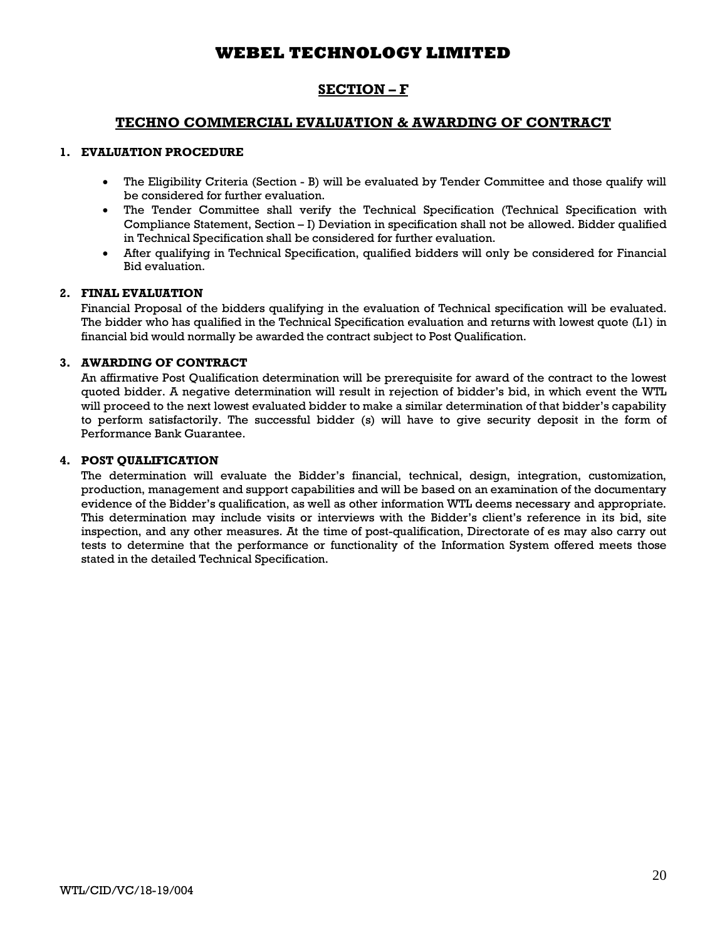## **SECTION – F**

## **TECHNO COMMERCIAL EVALUATION & AWARDING OF CONTRACT**

### **1. EVALUATION PROCEDURE**

- · The Eligibility Criteria (Section B) will be evaluated by Tender Committee and those qualify will be considered for further evaluation.
- The Tender Committee shall verify the Technical Specification (Technical Specification with Compliance Statement, Section – I) Deviation in specification shall not be allowed. Bidder qualified in Technical Specification shall be considered for further evaluation.
- After qualifying in Technical Specification, qualified bidders will only be considered for Financial Bid evaluation.

## **2. FINAL EVALUATION**

Financial Proposal of the bidders qualifying in the evaluation of Technical specification will be evaluated. The bidder who has qualified in the Technical Specification evaluation and returns with lowest quote (L1) in financial bid would normally be awarded the contract subject to Post Qualification.

## **3. AWARDING OF CONTRACT**

An affirmative Post Qualification determination will be prerequisite for award of the contract to the lowest quoted bidder. A negative determination will result in rejection of bidder's bid, in which event the WTL will proceed to the next lowest evaluated bidder to make a similar determination of that bidder's capability to perform satisfactorily. The successful bidder (s) will have to give security deposit in the form of Performance Bank Guarantee.

### **4. POST QUALIFICATION**

The determination will evaluate the Bidder's financial, technical, design, integration, customization, production, management and support capabilities and will be based on an examination of the documentary evidence of the Bidder's qualification, as well as other information WTL deems necessary and appropriate. This determination may include visits or interviews with the Bidder's client's reference in its bid, site inspection, and any other measures. At the time of post-qualification, Directorate of es may also carry out tests to determine that the performance or functionality of the Information System offered meets those stated in the detailed Technical Specification.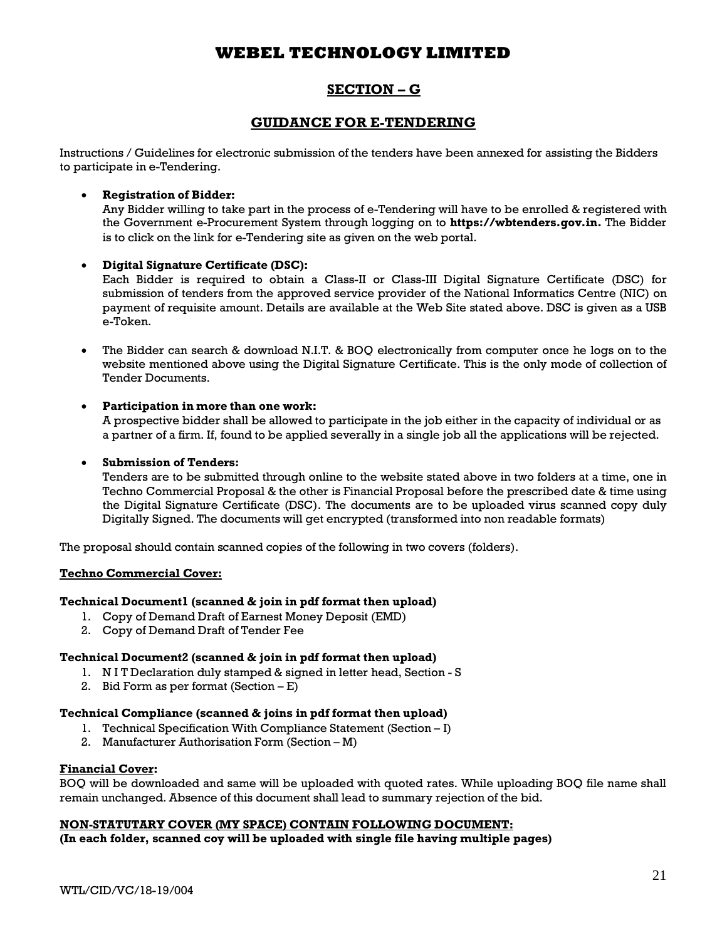## **SECTION – G**

## **GUIDANCE FOR E-TENDERING**

Instructions / Guidelines for electronic submission of the tenders have been annexed for assisting the Bidders to participate in e-Tendering.

## · **Registration of Bidder:**

Any Bidder willing to take part in the process of e-Tendering will have to be enrolled & registered with the Government e-Procurement System through logging on to **https://wbtenders.gov.in.** The Bidder is to click on the link for e-Tendering site as given on the web portal.

## · **Digital Signature Certificate (DSC):**

Each Bidder is required to obtain a Class-II or Class-III Digital Signature Certificate (DSC) for submission of tenders from the approved service provider of the National Informatics Centre (NIC) on payment of requisite amount. Details are available at the Web Site stated above. DSC is given as a USB e-Token.

· The Bidder can search & download N.I.T. & BOQ electronically from computer once he logs on to the website mentioned above using the Digital Signature Certificate. This is the only mode of collection of Tender Documents.

## · **Participation in more than one work:**

A prospective bidder shall be allowed to participate in the job either in the capacity of individual or as a partner of a firm. If, found to be applied severally in a single job all the applications will be rejected.

## · **Submission of Tenders:**

Tenders are to be submitted through online to the website stated above in two folders at a time, one in Techno Commercial Proposal & the other is Financial Proposal before the prescribed date & time using the Digital Signature Certificate (DSC). The documents are to be uploaded virus scanned copy duly Digitally Signed. The documents will get encrypted (transformed into non readable formats)

The proposal should contain scanned copies of the following in two covers (folders).

### **Techno Commercial Cover:**

### **Technical Document1 (scanned & join in pdf format then upload)**

- 1. Copy of Demand Draft of Earnest Money Deposit (EMD)
- 2. Copy of Demand Draft of Tender Fee

### **Technical Document2 (scanned & join in pdf format then upload)**

- 1. N I T Declaration duly stamped & signed in letter head, Section S
- 2. Bid Form as per format (Section E)

### **Technical Compliance (scanned & joins in pdf format then upload)**

- 1. Technical Specification With Compliance Statement (Section I)
- 2. Manufacturer Authorisation Form (Section M)

### **Financial Cover:**

BOQ will be downloaded and same will be uploaded with quoted rates. While uploading BOQ file name shall remain unchanged. Absence of this document shall lead to summary rejection of the bid.

### **NON-STATUTARY COVER (MY SPACE) CONTAIN FOLLOWING DOCUMENT:**

**(In each folder, scanned coy will be uploaded with single file having multiple pages)**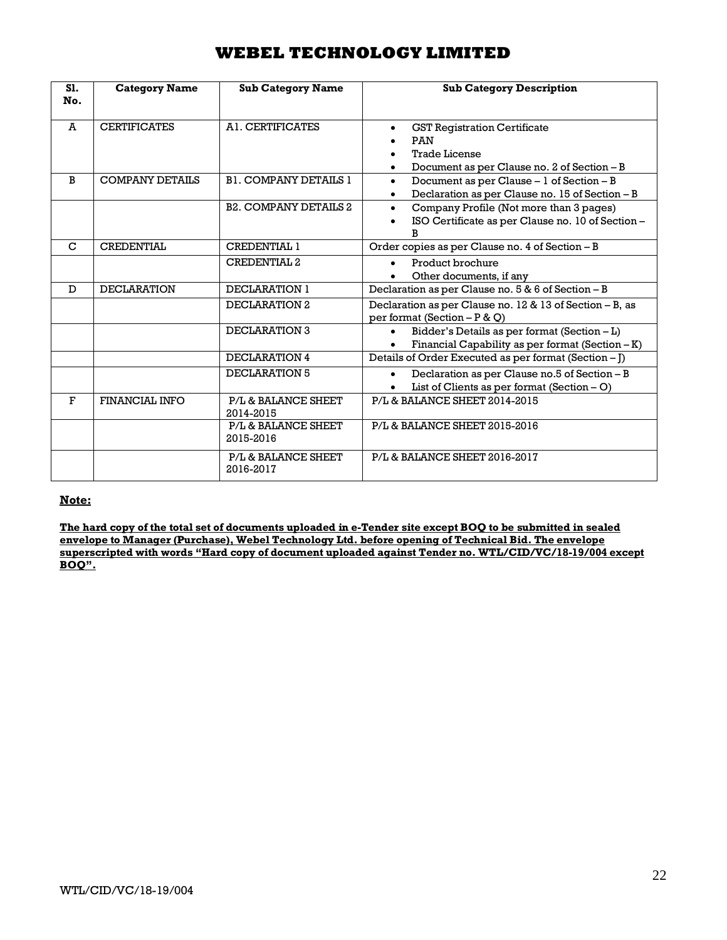| S1.<br>No.   | <b>Category Name</b>   | <b>Sub Category Name</b>         | <b>Sub Category Description</b>                                                                                        |
|--------------|------------------------|----------------------------------|------------------------------------------------------------------------------------------------------------------------|
| A            | <b>CERTIFICATES</b>    | A1. CERTIFICATES                 | <b>GST Registration Certificate</b><br>$\bullet$<br>PAN<br><b>Trade License</b>                                        |
|              |                        |                                  | Document as per Clause no. 2 of Section - B<br>$\bullet$                                                               |
| <sub>B</sub> | <b>COMPANY DETAILS</b> | <b>B1. COMPANY DETAILS 1</b>     | Document as per Clause - 1 of Section - B<br>$\bullet$<br>Declaration as per Clause no. 15 of Section - B<br>$\bullet$ |
|              |                        | <b>B2. COMPANY DETAILS 2</b>     | Company Profile (Not more than 3 pages)<br>$\bullet$<br>ISO Certificate as per Clause no. 10 of Section -<br>R         |
| $\mathbf C$  | <b>CREDENTIAL</b>      | CREDENTIAL 1                     | Order copies as per Clause no. 4 of Section - B                                                                        |
|              |                        | <b>CREDENTIAL 2</b>              | Product brochure<br>Other documents, if any<br>$\bullet$                                                               |
| D            | <b>DECLARATION</b>     | <b>DECLARATION 1</b>             | Declaration as per Clause no. 5 & 6 of Section - B                                                                     |
|              |                        | DECLARATION 2                    | Declaration as per Clause no. 12 & 13 of Section - B, as<br>per format (Section $-P & Q$ )                             |
|              |                        | DECLARATION 3                    | Bidder's Details as per format (Section - L)<br>Financial Capability as per format (Section $-K$ )                     |
|              |                        | DECLARATION 4                    | Details of Order Executed as per format (Section - J)                                                                  |
|              |                        | DECLARATION 5                    | Declaration as per Clause no.5 of Section - B<br>List of Clients as per format $(Section - O)$                         |
| $\mathbf{F}$ | FINANCIAL INFO         | P/L & BALANCE SHEET<br>2014-2015 | P/L& BALANCE SHEET 2014-2015                                                                                           |
|              |                        | P/L & BALANCE SHEET<br>2015-2016 | P/L & BALANCE SHEET 2015-2016                                                                                          |
|              |                        | P/L & BALANCE SHEET<br>2016-2017 | P/L & BALANCE SHEET 2016-2017                                                                                          |

### **Note:**

**The hard copy of the total set of documents uploaded in e-Tender site except BOQ to be submitted in sealed envelope to Manager (Purchase), Webel Technology Ltd. before opening of Technical Bid. The envelope superscripted with words "Hard copy of document uploaded against Tender no. WTL/CID/VC/18-19/004 except BOQ".**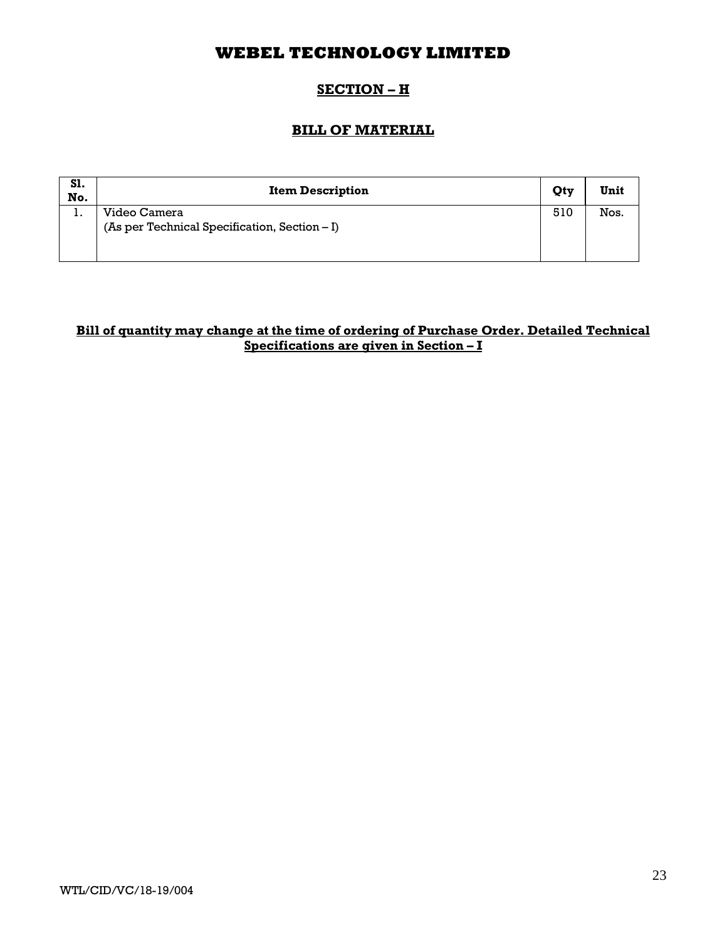## **SECTION – H**

## **BILL OF MATERIAL**

| S1.<br>No. | <b>Item Description</b>                                       | Qty | Unit |
|------------|---------------------------------------------------------------|-----|------|
| . .        | Video Camera<br>(As per Technical Specification, Section – I) | 510 | Nos. |
|            |                                                               |     |      |

## **Bill of quantity may change at the time of ordering of Purchase Order. Detailed Technical Specifications are given in Section – I**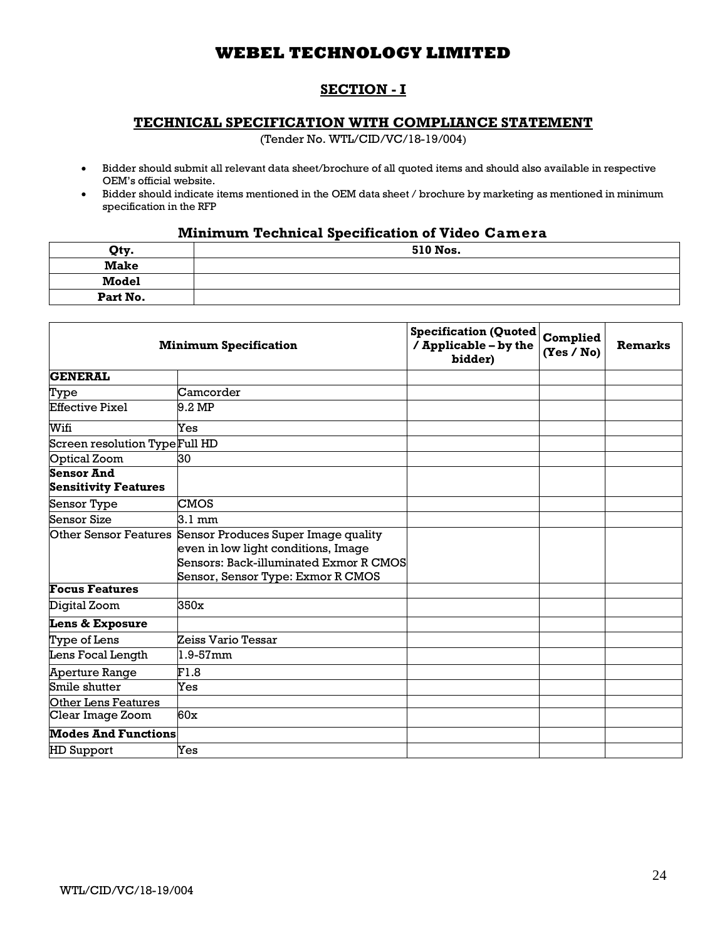## **SECTION - I**

## **TECHNICAL SPECIFICATION WITH COMPLIANCE STATEMENT**

(Tender No. WTL/CID/VC/18-19/004)

- · Bidder should submit all relevant data sheet/brochure of all quoted items and should also available in respective OEM's official website.
- · Bidder should indicate items mentioned in the OEM data sheet / brochure by marketing as mentioned in minimum specification in the RFP

# **Minimum Technical Specification of Video Camera**

| Qty.         | 510 Nos. |
|--------------|----------|
| <b>Make</b>  |          |
| <b>Model</b> |          |
| Part No.     |          |

|                                | <b>Minimum Specification</b>                              | <b>Specification (Quoted</b><br>/ Applicable - by the<br>bidder) | Complied<br>(Yes / No) | <b>Remarks</b> |
|--------------------------------|-----------------------------------------------------------|------------------------------------------------------------------|------------------------|----------------|
| <b>GENERAL</b>                 |                                                           |                                                                  |                        |                |
| Type                           | Camcorder                                                 |                                                                  |                        |                |
| <b>Effective Pixel</b>         | 9.2 MP                                                    |                                                                  |                        |                |
| Wifi                           | Yes                                                       |                                                                  |                        |                |
| Screen resolution Type Full HD |                                                           |                                                                  |                        |                |
| <b>Optical Zoom</b>            | 30                                                        |                                                                  |                        |                |
| <b>Sensor And</b>              |                                                           |                                                                  |                        |                |
| <b>Sensitivity Features</b>    |                                                           |                                                                  |                        |                |
| Sensor Type                    | <b>CMOS</b>                                               |                                                                  |                        |                |
| Sensor Size                    | 3.1 mm                                                    |                                                                  |                        |                |
|                                | Other Sensor Features Sensor Produces Super Image quality |                                                                  |                        |                |
|                                | even in low light conditions, Image                       |                                                                  |                        |                |
|                                | Sensors: Back-illuminated Exmor R CMOS                    |                                                                  |                        |                |
|                                | Sensor, Sensor Type: Exmor R CMOS                         |                                                                  |                        |                |
| <b>Focus Features</b>          |                                                           |                                                                  |                        |                |
| Digital Zoom                   | 350x                                                      |                                                                  |                        |                |
| Lens & Exposure                |                                                           |                                                                  |                        |                |
| Type of Lens                   | Zeiss Vario Tessar                                        |                                                                  |                        |                |
| Lens Focal Length              | $1.9 - 57$ mm                                             |                                                                  |                        |                |
| Aperture Range                 | F1.8                                                      |                                                                  |                        |                |
| Smile shutter                  | Yes                                                       |                                                                  |                        |                |
| <b>Other Lens Features</b>     |                                                           |                                                                  |                        |                |
| Clear Image Zoom               | 60x                                                       |                                                                  |                        |                |
| <b>Modes And Functions</b>     |                                                           |                                                                  |                        |                |
| <b>HD</b> Support              | Yes                                                       |                                                                  |                        |                |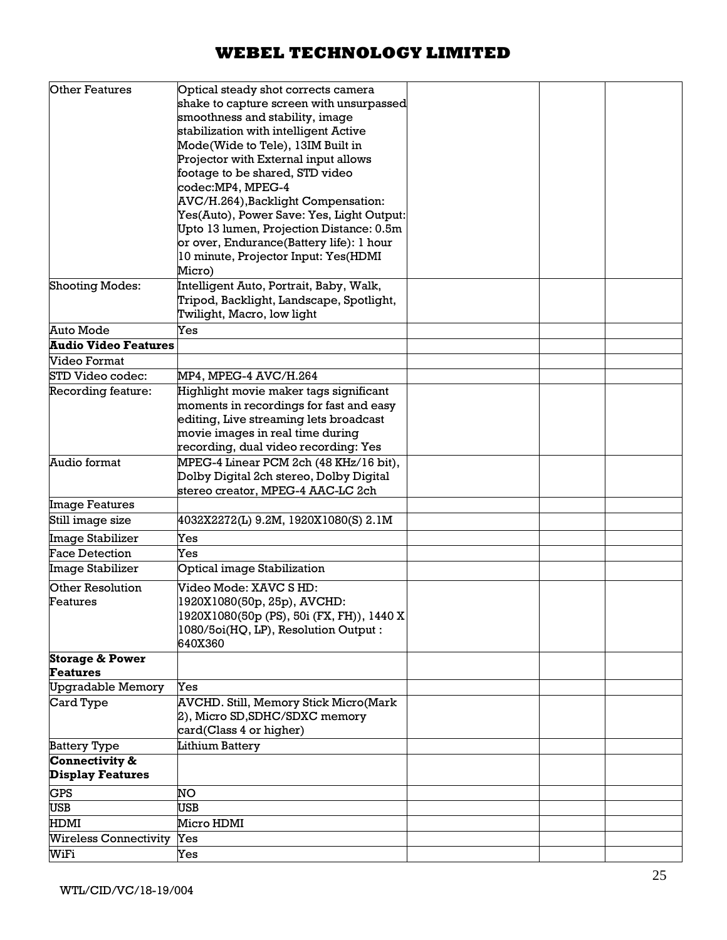| <b>Other Features</b>                         | Optical steady shot corrects camera                                              |  |  |
|-----------------------------------------------|----------------------------------------------------------------------------------|--|--|
|                                               | shake to capture screen with unsurpassed                                         |  |  |
|                                               | smoothness and stability, image                                                  |  |  |
|                                               | stabilization with intelligent Active                                            |  |  |
|                                               | Mode(Wide to Tele), 13IM Built in                                                |  |  |
|                                               | Projector with External input allows                                             |  |  |
|                                               | footage to be shared, STD video                                                  |  |  |
|                                               | codec:MP4, MPEG-4                                                                |  |  |
|                                               | AVC/H.264), Backlight Compensation:<br>Yes(Auto), Power Save: Yes, Light Output: |  |  |
|                                               | Upto 13 lumen, Projection Distance: 0.5m                                         |  |  |
|                                               | or over, Endurance(Battery life): 1 hour                                         |  |  |
|                                               | 10 minute, Projector Input: Yes(HDMI                                             |  |  |
|                                               | Micro)                                                                           |  |  |
| <b>Shooting Modes:</b>                        | Intelligent Auto, Portrait, Baby, Walk,                                          |  |  |
|                                               | Tripod, Backlight, Landscape, Spotlight,                                         |  |  |
|                                               | Twilight, Macro, low light                                                       |  |  |
| Auto Mode                                     | Yes                                                                              |  |  |
| <b>Audio Video Features</b>                   |                                                                                  |  |  |
| Video Format                                  |                                                                                  |  |  |
| STD Video codec:                              | MP4, MPEG-4 AVC/H.264                                                            |  |  |
| Recording feature:                            | Highlight movie maker tags significant                                           |  |  |
|                                               | moments in recordings for fast and easy                                          |  |  |
|                                               | editing, Live streaming lets broadcast                                           |  |  |
|                                               | movie images in real time during                                                 |  |  |
|                                               | recording, dual video recording: Yes                                             |  |  |
| Audio format                                  | MPEG-4 Linear PCM 2ch (48 KHz/16 bit),                                           |  |  |
|                                               | Dolby Digital 2ch stereo, Dolby Digital                                          |  |  |
|                                               | stereo creator, MPEG-4 AAC-LC 2ch                                                |  |  |
| <b>Image Features</b>                         |                                                                                  |  |  |
| Still image size                              | 4032X2272(L) 9.2M, 1920X1080(S) 2.1M                                             |  |  |
| Image Stabilizer                              | Yes                                                                              |  |  |
| <b>Face Detection</b>                         | Yes                                                                              |  |  |
| Image Stabilizer                              | Optical image Stabilization                                                      |  |  |
| Other Resolution                              | Video Mode: XAVC S HD:                                                           |  |  |
| Features                                      | 1920X1080(50p, 25p), AVCHD:                                                      |  |  |
|                                               | 1920X1080(50p (PS), 50i (FX, FH)), 1440 X                                        |  |  |
|                                               | 1080/5oi(HQ, LP), Resolution Output:                                             |  |  |
|                                               | 640X360                                                                          |  |  |
| <b>Storage &amp; Power</b><br><b>Features</b> |                                                                                  |  |  |
| Upgradable Memory                             | Yes                                                                              |  |  |
| Card Type                                     | AVCHD. Still, Memory Stick Micro(Mark                                            |  |  |
|                                               | 2), Micro SD, SDHC/SDXC memory                                                   |  |  |
|                                               | card(Class 4 or higher)                                                          |  |  |
| <b>Battery Type</b>                           | Lithium Battery                                                                  |  |  |
| Connectivity &                                |                                                                                  |  |  |
| <b>Display Features</b>                       |                                                                                  |  |  |
| <b>GPS</b>                                    |                                                                                  |  |  |
|                                               |                                                                                  |  |  |
|                                               | NO                                                                               |  |  |
| <b>USB</b>                                    | <b>USB</b>                                                                       |  |  |
| <b>HDMI</b><br>Wireless Connectivity          | Micro HDMI<br>Yes                                                                |  |  |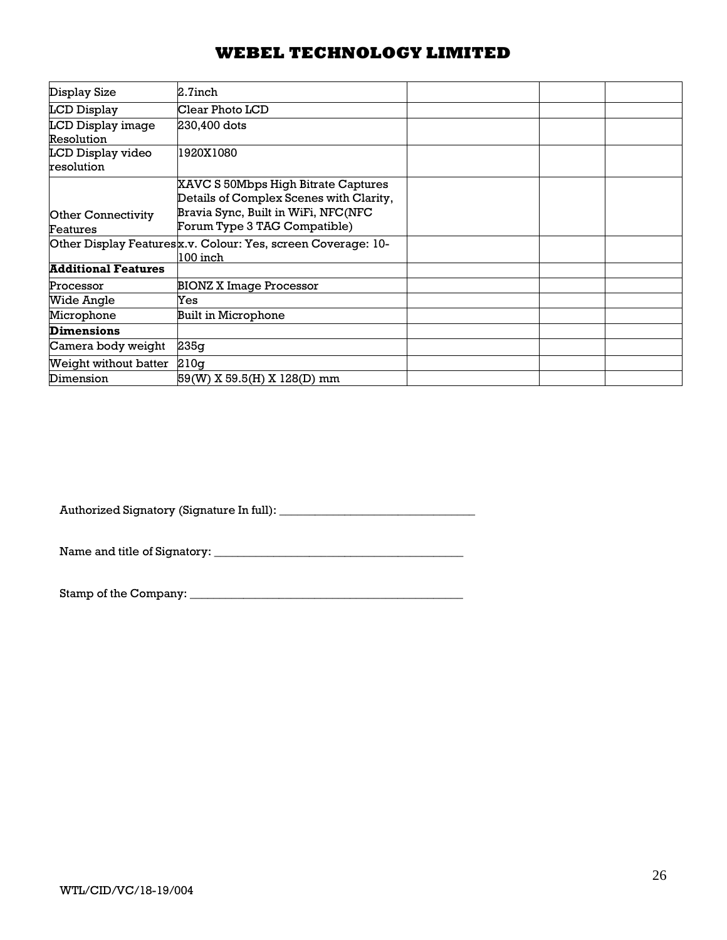| Display Size               | 2.7inch                                                      |  |  |
|----------------------------|--------------------------------------------------------------|--|--|
| LCD Display                | Clear Photo LCD                                              |  |  |
| LCD Display image          | 230,400 dots                                                 |  |  |
| Resolution                 |                                                              |  |  |
| LCD Display video          | 1920X1080                                                    |  |  |
| resolution                 |                                                              |  |  |
|                            | XAVC S 50Mbps High Bitrate Captures                          |  |  |
|                            | Details of Complex Scenes with Clarity,                      |  |  |
| <b>Other Connectivity</b>  | Bravia Sync, Built in WiFi, NFC(NFC                          |  |  |
| Features                   | Forum Type 3 TAG Compatible)                                 |  |  |
|                            | Other Display Featuresx.v. Colour: Yes, screen Coverage: 10- |  |  |
|                            | 100 inch                                                     |  |  |
| <b>Additional Features</b> |                                                              |  |  |
| Processor                  | BIONZ X Image Processor                                      |  |  |
| Wide Angle                 | Yes                                                          |  |  |
| Microphone                 | <b>Built in Microphone</b>                                   |  |  |
| <b>Dimensions</b>          |                                                              |  |  |
| Camera body weight         | 235q                                                         |  |  |
| Weight without batter      | 210q                                                         |  |  |
| Dimension                  | 59(W) X 59.5(H) X 128(D) mm                                  |  |  |

Authorized Signatory (Signature In full): \_\_\_\_\_\_\_\_\_\_\_\_\_\_\_\_\_\_\_\_\_\_\_\_\_\_\_\_\_\_\_\_\_

Name and title of Signatory: \_\_\_\_\_\_\_\_\_\_\_\_\_\_\_\_\_\_\_\_\_\_\_\_\_\_\_\_\_\_\_\_\_\_\_\_\_\_\_\_\_\_

Stamp of the Company: \_\_\_\_\_\_\_\_\_\_\_\_\_\_\_\_\_\_\_\_\_\_\_\_\_\_\_\_\_\_\_\_\_\_\_\_\_\_\_\_\_\_\_\_\_\_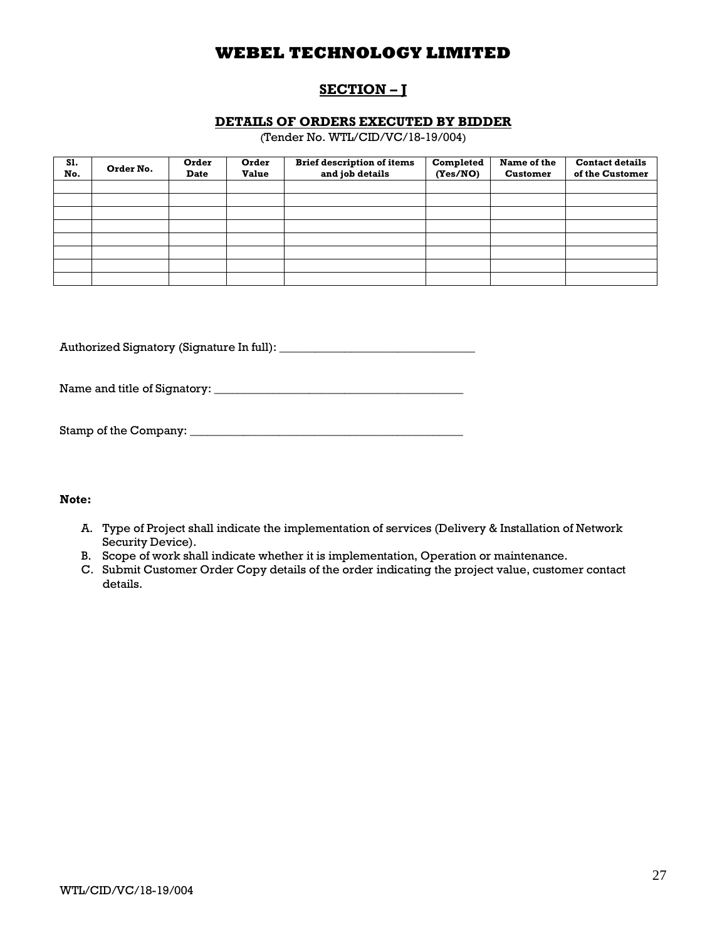# **SECTION – J**

### **DETAILS OF ORDERS EXECUTED BY BIDDER**

(Tender No. WTL/CID/VC/18-19/004)

| S1.<br>No. | Order No. | Order<br><b>Date</b> | Order<br><b>Value</b> | <b>Brief description of items</b><br>and job details | Completed<br>(Yes/NO) | Name of the<br><b>Customer</b> | <b>Contact details</b><br>of the Customer |
|------------|-----------|----------------------|-----------------------|------------------------------------------------------|-----------------------|--------------------------------|-------------------------------------------|
|            |           |                      |                       |                                                      |                       |                                |                                           |
|            |           |                      |                       |                                                      |                       |                                |                                           |
|            |           |                      |                       |                                                      |                       |                                |                                           |
|            |           |                      |                       |                                                      |                       |                                |                                           |
|            |           |                      |                       |                                                      |                       |                                |                                           |
|            |           |                      |                       |                                                      |                       |                                |                                           |
|            |           |                      |                       |                                                      |                       |                                |                                           |
|            |           |                      |                       |                                                      |                       |                                |                                           |

Authorized Signatory (Signature In full): \_\_\_\_\_\_\_\_\_\_\_\_\_\_\_\_\_\_\_\_\_\_\_\_\_\_\_\_\_\_\_\_\_

Name and title of Signatory: \_\_\_\_\_\_\_\_\_\_\_\_\_\_\_\_\_\_\_\_\_\_\_\_\_\_\_\_\_\_\_\_\_\_\_\_\_\_\_\_\_\_

| Stamp of the Company: |  |
|-----------------------|--|
|                       |  |

### **Note:**

- A. Type of Project shall indicate the implementation of services (Delivery & Installation of Network Security Device).
- B. Scope of work shall indicate whether it is implementation, Operation or maintenance.
- C. Submit Customer Order Copy details of the order indicating the project value, customer contact details.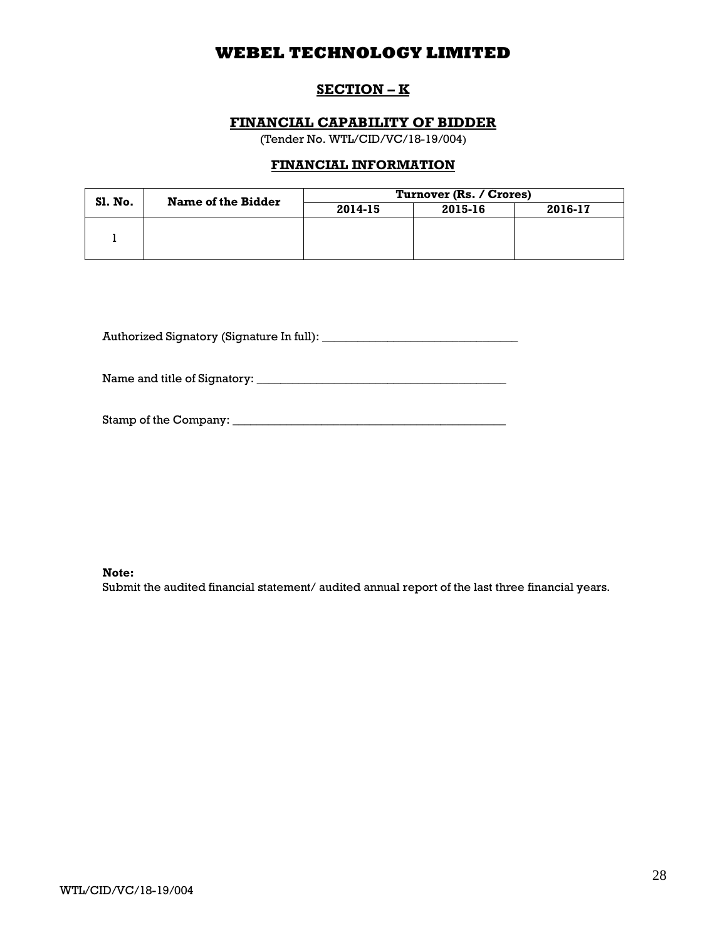## **SECTION – K**

## **FINANCIAL CAPABILITY OF BIDDER**

(Tender No. WTL/CID/VC/18-19/004)

## **FINANCIAL INFORMATION**

| SI. No. | Name of the Bidder | Turnover (Rs. / Crores) |         |         |  |
|---------|--------------------|-------------------------|---------|---------|--|
|         |                    | 2014-15                 | 2015-16 | 2016-17 |  |
|         |                    |                         |         |         |  |
|         |                    |                         |         |         |  |
|         |                    |                         |         |         |  |

Authorized Signatory (Signature In full): \_\_\_\_\_\_\_\_\_\_\_\_\_\_\_\_\_\_\_\_\_\_\_\_\_\_\_\_\_\_\_\_\_

Name and title of Signatory: \_\_\_\_\_\_\_\_\_\_\_\_\_\_\_\_\_\_\_\_\_\_\_\_\_\_\_\_\_\_\_\_\_\_\_\_\_\_\_\_\_\_

Stamp of the Company: \_\_\_\_\_\_\_\_\_\_\_\_\_\_\_\_\_\_\_\_\_\_\_\_\_\_\_\_\_\_\_\_\_\_\_\_\_\_\_\_\_\_\_\_\_\_

#### **Note:**

Submit the audited financial statement/ audited annual report of the last three financial years.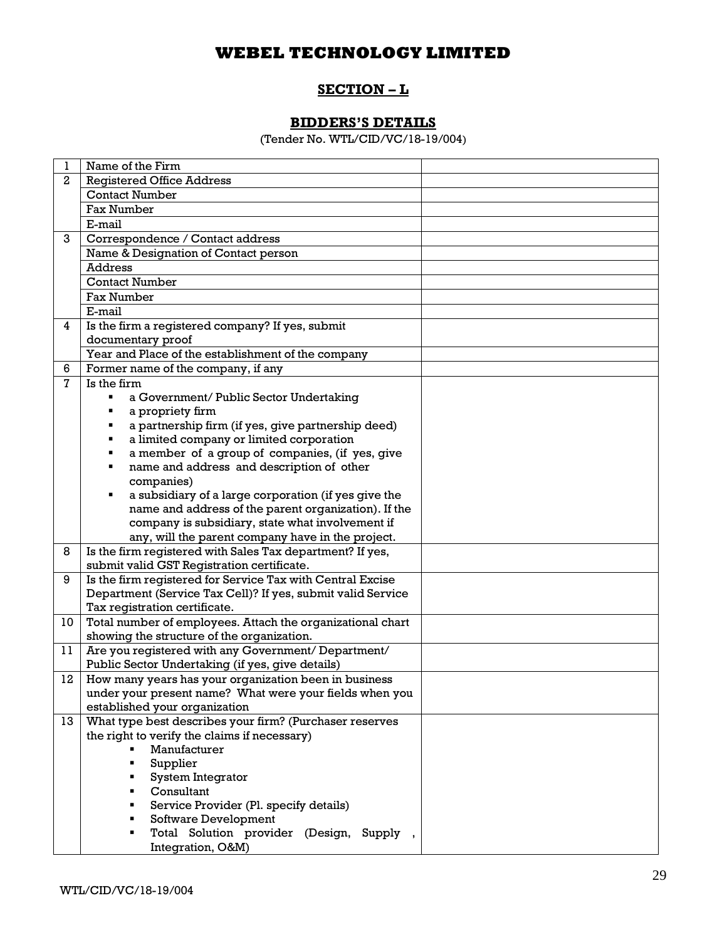## **SECTION – L**

## **BIDDERS'S DETAILS**

(Tender No. WTL/CID/VC/18-19/004)

| 1            | Name of the Firm                                            |
|--------------|-------------------------------------------------------------|
| $\mathbf{2}$ | <b>Registered Office Address</b>                            |
|              | <b>Contact Number</b>                                       |
|              | Fax Number                                                  |
|              | E-mail                                                      |
| 3            | Correspondence / Contact address                            |
|              | Name & Designation of Contact person                        |
|              | Address                                                     |
|              | <b>Contact Number</b>                                       |
|              | Fax Number                                                  |
|              | E-mail                                                      |
| 4            | Is the firm a registered company? If yes, submit            |
|              | documentary proof                                           |
|              | Year and Place of the establishment of the company          |
| 6            | Former name of the company, if any                          |
| 7            | Is the firm                                                 |
|              | a Government/ Public Sector Undertaking<br>٠                |
|              | a propriety firm<br>٠                                       |
|              | a partnership firm (if yes, give partnership deed)<br>٠     |
|              | a limited company or limited corporation<br>٠               |
|              | a member of a group of companies, (if yes, give<br>٠        |
|              | name and address and description of other<br>٠              |
|              | companies)                                                  |
|              | a subsidiary of a large corporation (if yes give the<br>п   |
|              | name and address of the parent organization). If the        |
|              | company is subsidiary, state what involvement if            |
|              | any, will the parent company have in the project.           |
| 8            | Is the firm registered with Sales Tax department? If yes,   |
|              | submit valid GST Registration certificate.                  |
| 9            | Is the firm registered for Service Tax with Central Excise  |
|              | Department (Service Tax Cell)? If yes, submit valid Service |
|              | Tax registration certificate.                               |
| 10           | Total number of employees. Attach the organizational chart  |
|              | showing the structure of the organization.                  |
| 11           | Are you registered with any Government/ Department/         |
|              | Public Sector Undertaking (if yes, give details)            |
| 12           | How many years has your organization been in business       |
|              | under your present name? What were your fields when you     |
|              | established your organization                               |
| 13           | What type best describes your firm? (Purchaser reserves     |
|              | the right to verify the claims if necessary)                |
|              | Manufacturer                                                |
|              | Supplier                                                    |
|              | System Integrator<br>٠                                      |
|              | Consultant                                                  |
|              | Service Provider (Pl. specify details)                      |
|              | Software Development                                        |
|              | Total Solution provider (Design, Supply,                    |
|              | Integration, O&M)                                           |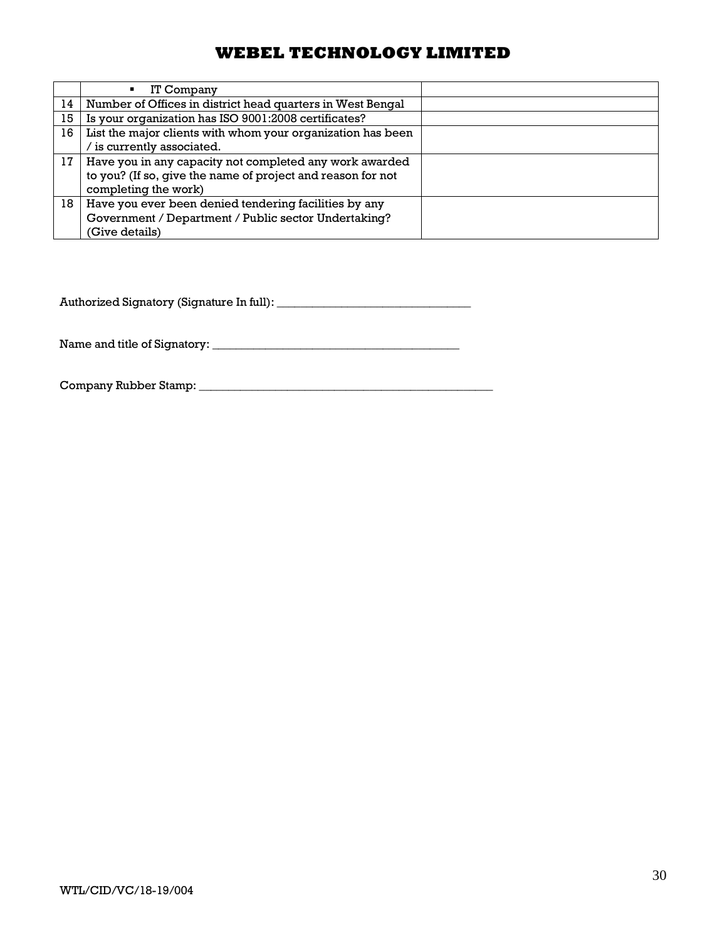|    | IT Company<br>$\blacksquare$                                |  |
|----|-------------------------------------------------------------|--|
| 14 | Number of Offices in district head quarters in West Bengal  |  |
| 15 | Is your organization has ISO 9001:2008 certificates?        |  |
| 16 | List the major clients with whom your organization has been |  |
|    | is currently associated.                                    |  |
| 17 | Have you in any capacity not completed any work awarded     |  |
|    | to you? (If so, give the name of project and reason for not |  |
|    | completing the work)                                        |  |
| 18 | Have you ever been denied tendering facilities by any       |  |
|    | Government / Department / Public sector Undertaking?        |  |
|    | (Give details)                                              |  |

Authorized Signatory (Signature In full): \_\_\_\_\_\_\_\_\_\_\_\_\_\_\_\_\_\_\_\_\_\_\_\_\_\_\_\_\_\_\_\_\_

Name and title of Signatory: \_\_\_\_\_\_\_\_\_\_\_\_\_\_\_\_\_\_\_\_\_\_\_\_\_\_\_\_\_\_\_\_\_\_\_\_\_\_\_\_\_\_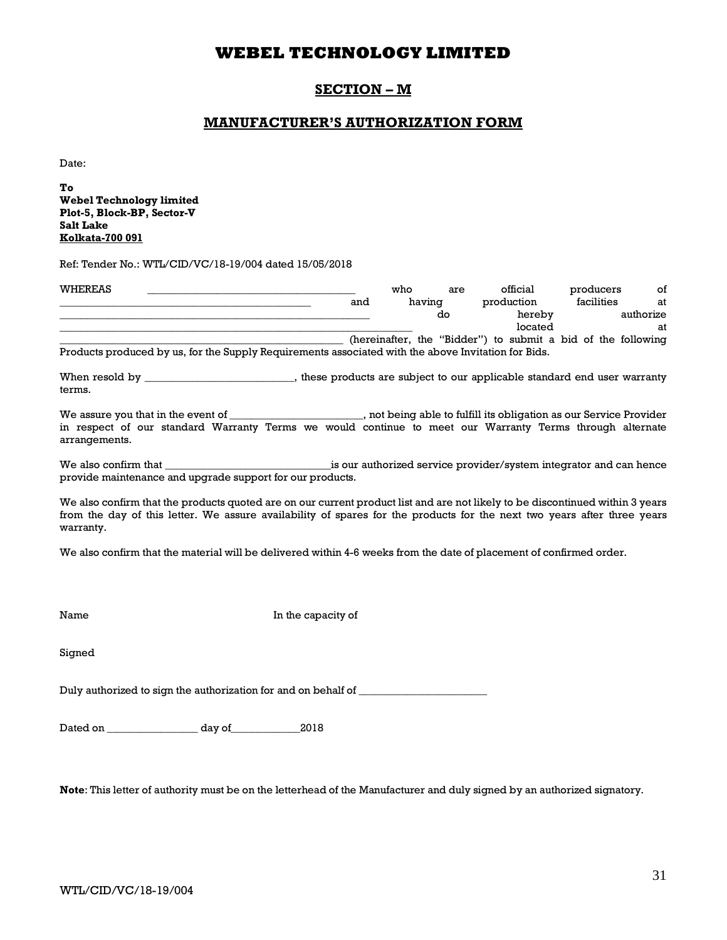## **SECTION – M**

## **MANUFACTURER'S AUTHORIZATION FORM**

Date:

**To Webel Technology limited Plot-5, Block-BP, Sector-V Salt Lake Kolkata-700 091**

Ref: Tender No.: WTL/CID/VC/18-19/004 dated 15/05/2018

| WHEREAS |                                                                                                     | who    | are | official                                                     | producers  | of        |
|---------|-----------------------------------------------------------------------------------------------------|--------|-----|--------------------------------------------------------------|------------|-----------|
|         | and                                                                                                 | having |     | production                                                   | facilities | at        |
|         |                                                                                                     |        | do  | hereby                                                       |            | authorize |
|         |                                                                                                     |        |     | located                                                      |            | at        |
|         |                                                                                                     |        |     | (hereinafter, the "Bidder") to submit a bid of the following |            |           |
|         | Products produced by us, for the Supply Requirements associated with the above Invitation for Bids. |        |     |                                                              |            |           |

When resold by \_\_\_\_\_\_\_\_\_\_\_\_\_\_\_\_\_\_\_\_\_\_\_\_, these products are subject to our applicable standard end user warranty terms.

We assure you that in the event of \_\_\_\_\_\_\_\_\_\_\_\_\_\_\_\_\_\_\_\_, not being able to fulfill its obligation as our Service Provider in respect of our standard Warranty Terms we would continue to meet our Warranty Terms through alternate arrangements.

We also confirm that \_\_\_\_\_\_\_\_\_\_\_\_\_\_\_\_\_\_\_\_\_\_\_\_\_\_\_\_\_\_\_is our authorized service provider/system integrator and can hence provide maintenance and upgrade support for our products.

We also confirm that the products quoted are on our current product list and are not likely to be discontinued within 3 years from the day of this letter. We assure availability of spares for the products for the next two years after three years warranty.

We also confirm that the material will be delivered within 4-6 weeks from the date of placement of confirmed order.

Name In the capacity of

Signed

Duly authorized to sign the authorization for and on behalf of \_\_\_\_\_\_\_\_\_\_\_\_\_\_\_\_\_\_

Dated on \_\_\_\_\_\_\_\_\_\_\_\_\_\_\_\_\_ day of\_\_\_\_\_\_\_\_\_\_\_\_\_2018

**Note**: This letter of authority must be on the letterhead of the Manufacturer and duly signed by an authorized signatory.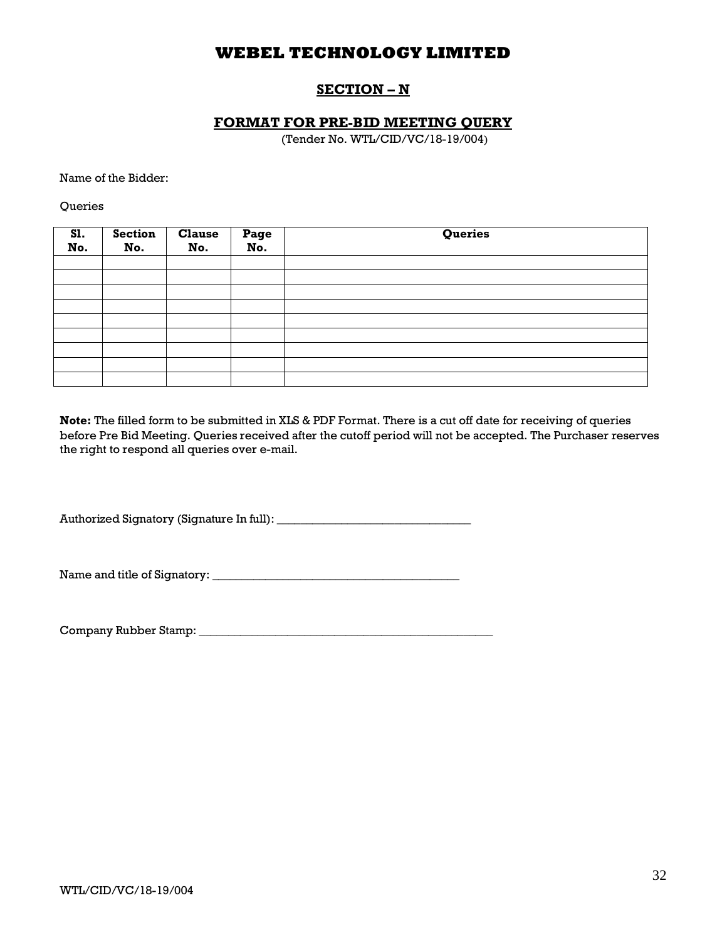## **SECTION – N**

## **FORMAT FOR PRE-BID MEETING QUERY**

(Tender No. WTL/CID/VC/18-19/004)

Name of the Bidder:

**Oueries** 

| S1.<br>No. | <b>Section</b><br>No. | <b>Clause</b><br>No. | Page<br>No. | Queries |
|------------|-----------------------|----------------------|-------------|---------|
|            |                       |                      |             |         |
|            |                       |                      |             |         |
|            |                       |                      |             |         |
|            |                       |                      |             |         |
|            |                       |                      |             |         |
|            |                       |                      |             |         |
|            |                       |                      |             |         |
|            |                       |                      |             |         |
|            |                       |                      |             |         |

**Note:** The filled form to be submitted in XLS & PDF Format. There is a cut off date for receiving of queries before Pre Bid Meeting. Queries received after the cutoff period will not be accepted. The Purchaser reserves the right to respond all queries over e-mail.

Authorized Signatory (Signature In full): \_\_\_\_\_\_\_\_\_\_\_\_\_\_\_\_\_\_\_\_\_\_\_\_\_\_\_\_\_\_\_\_\_

Name and title of Signatory: \_\_\_\_\_\_\_\_\_\_\_\_\_\_\_\_\_\_\_\_\_\_\_\_\_\_\_\_\_\_\_\_\_\_\_\_\_\_\_\_\_\_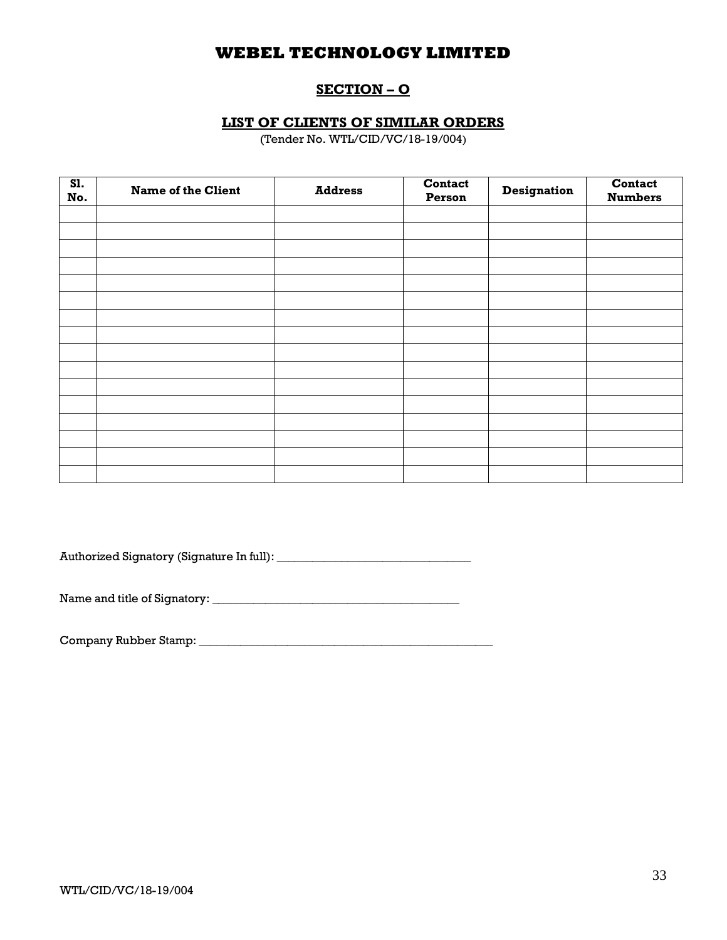## **SECTION – O**

## **LIST OF CLIENTS OF SIMILAR ORDERS**

(Tender No. WTL/CID/VC/18-19/004)

| SI.<br>No. | <b>Name of the Client</b> | <b>Address</b> | <b>Contact</b><br>Person | <b>Designation</b> | Contact<br><b>Numbers</b> |
|------------|---------------------------|----------------|--------------------------|--------------------|---------------------------|
|            |                           |                |                          |                    |                           |
|            |                           |                |                          |                    |                           |
|            |                           |                |                          |                    |                           |
|            |                           |                |                          |                    |                           |
|            |                           |                |                          |                    |                           |
|            |                           |                |                          |                    |                           |
|            |                           |                |                          |                    |                           |
|            |                           |                |                          |                    |                           |
|            |                           |                |                          |                    |                           |
|            |                           |                |                          |                    |                           |
|            |                           |                |                          |                    |                           |
|            |                           |                |                          |                    |                           |
|            |                           |                |                          |                    |                           |
|            |                           |                |                          |                    |                           |
|            |                           |                |                          |                    |                           |
|            |                           |                |                          |                    |                           |

Authorized Signatory (Signature In full): \_\_\_\_\_\_\_\_\_\_\_\_\_\_\_\_\_\_\_\_\_\_\_\_\_\_\_\_\_\_\_\_\_

Name and title of Signatory: \_\_\_\_\_\_\_\_\_\_\_\_\_\_\_\_\_\_\_\_\_\_\_\_\_\_\_\_\_\_\_\_\_\_\_\_\_\_\_\_\_\_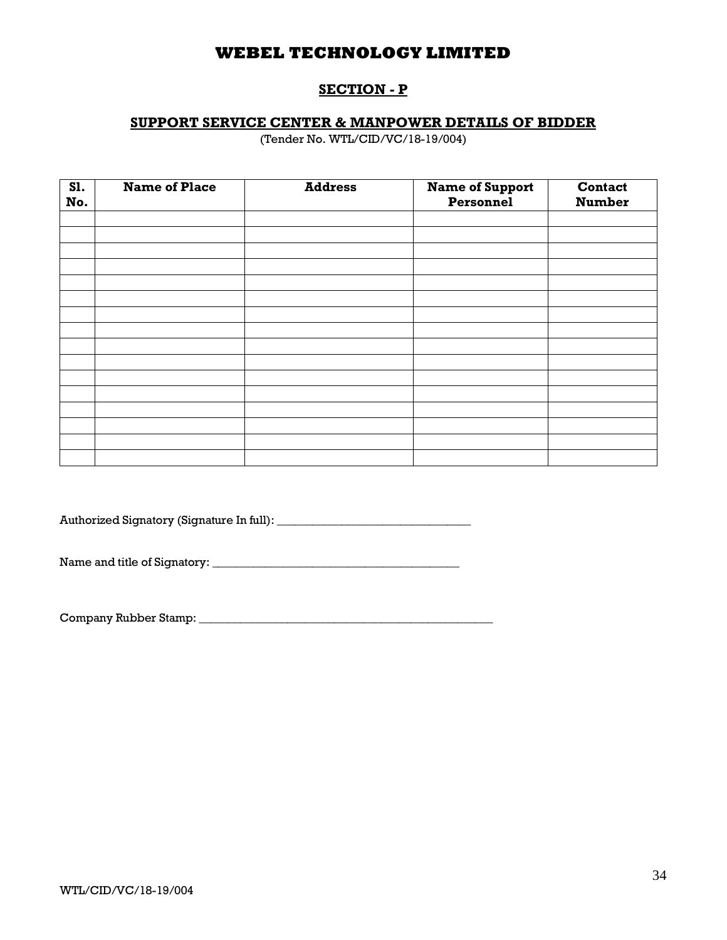## **SECTION - P**

## **SUPPORT SERVICE CENTER & MANPOWER DETAILS OF BIDDER**

(Tender No. WTL/CID/VC/18-19/004)

| S1.<br>No. | <b>Name of Place</b> | <b>Address</b> | <b>Name of Support</b><br>Personnel | <b>Contact</b><br><b>Number</b> |
|------------|----------------------|----------------|-------------------------------------|---------------------------------|
|            |                      |                |                                     |                                 |
|            |                      |                |                                     |                                 |
|            |                      |                |                                     |                                 |
|            |                      |                |                                     |                                 |
|            |                      |                |                                     |                                 |
|            |                      |                |                                     |                                 |
|            |                      |                |                                     |                                 |
|            |                      |                |                                     |                                 |
|            |                      |                |                                     |                                 |
|            |                      |                |                                     |                                 |
|            |                      |                |                                     |                                 |
|            |                      |                |                                     |                                 |
|            |                      |                |                                     |                                 |
|            |                      |                |                                     |                                 |
|            |                      |                |                                     |                                 |
|            |                      |                |                                     |                                 |

Authorized Signatory (Signature In full): \_\_\_\_\_\_\_\_\_\_\_\_\_\_\_\_\_\_\_\_\_\_\_\_\_\_\_\_\_\_\_\_\_

Name and title of Signatory: \_\_\_\_\_\_\_\_\_\_\_\_\_\_\_\_\_\_\_\_\_\_\_\_\_\_\_\_\_\_\_\_\_\_\_\_\_\_\_\_\_\_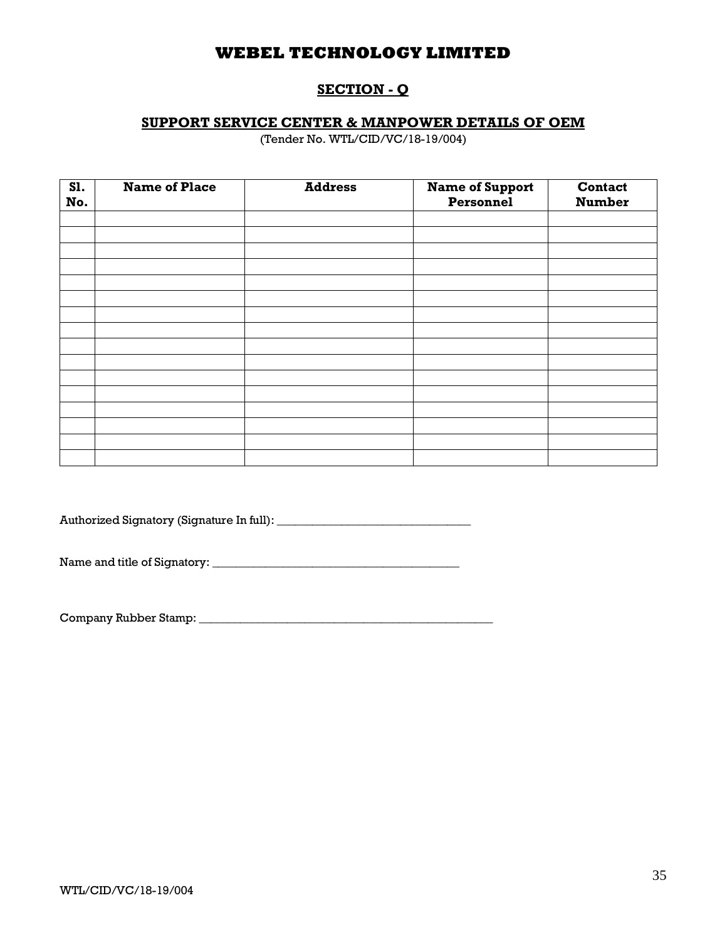## **SECTION - Q**

## **SUPPORT SERVICE CENTER & MANPOWER DETAILS OF OEM**

(Tender No. WTL/CID/VC/18-19/004)

| SI.<br>No. | <b>Name of Place</b> | <b>Address</b> | <b>Name of Support</b><br>Personnel | Contact<br><b>Number</b> |
|------------|----------------------|----------------|-------------------------------------|--------------------------|
|            |                      |                |                                     |                          |
|            |                      |                |                                     |                          |
|            |                      |                |                                     |                          |
|            |                      |                |                                     |                          |
|            |                      |                |                                     |                          |
|            |                      |                |                                     |                          |
|            |                      |                |                                     |                          |
|            |                      |                |                                     |                          |
|            |                      |                |                                     |                          |
|            |                      |                |                                     |                          |
|            |                      |                |                                     |                          |
|            |                      |                |                                     |                          |
|            |                      |                |                                     |                          |
|            |                      |                |                                     |                          |
|            |                      |                |                                     |                          |
|            |                      |                |                                     |                          |

Authorized Signatory (Signature In full): \_\_\_\_\_\_\_\_\_\_\_\_\_\_\_\_\_\_\_\_\_\_\_\_\_\_\_\_\_\_\_\_\_

Name and title of Signatory: \_\_\_\_\_\_\_\_\_\_\_\_\_\_\_\_\_\_\_\_\_\_\_\_\_\_\_\_\_\_\_\_\_\_\_\_\_\_\_\_\_\_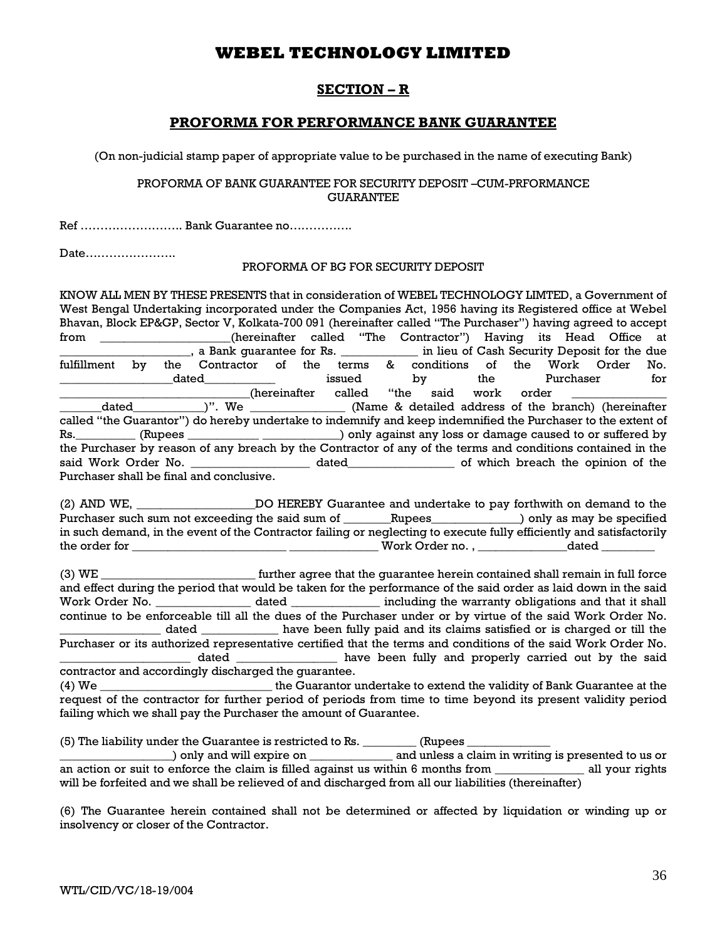## **SECTION – R**

## **PROFORMA FOR PERFORMANCE BANK GUARANTEE**

(On non-judicial stamp paper of appropriate value to be purchased in the name of executing Bank)

### PROFORMA OF BANK GUARANTEE FOR SECURITY DEPOSIT –CUM-PRFORMANCE GUARANTEE

Ref …………………….. Bank Guarantee no…………….

Date…………………..

## PROFORMA OF BG FOR SECURITY DEPOSIT

KNOW ALL MEN BY THESE PRESENTS that in consideration of WEBEL TECHNOLOGY LIMTED, a Government of West Bengal Undertaking incorporated under the Companies Act, 1956 having its Registered office at Webel Bhavan, Block EP&GP, Sector V, Kolkata-700 091 (hereinafter called "The Purchaser") having agreed to accept from \_\_\_\_\_\_\_\_\_\_\_\_\_\_\_\_\_\_\_\_\_\_(hereinafter called "The Contractor") Having its Head Office at <sup>fulfillment</sup> by the Contractor of the terms & conditions of the Work Order No. the Contractor of the terms & conditions of the Work Order No. \_\_\_\_\_\_\_\_\_\_\_\_\_\_\_\_\_\_\_dated\_\_\_\_\_\_\_\_\_\_\_\_ issued by the Purchaser for \_\_\_\_\_\_\_\_\_\_\_\_\_\_\_\_\_\_\_\_\_\_\_\_(hereinafter called "the said work order dated \_\_\_\_\_\_\_\_\_\_\_\_\_\_\_\_\_\_\_\_\_\_\_\_\_\_\_\_(Name & detailed address of the h (Name & detailed address of the branch) (hereinafter called "the Guarantor") do hereby undertake to indemnify and keep indemnified the Purchaser to the extent of Rs.\_\_\_\_\_\_\_\_\_\_ (Rupees \_\_\_\_\_\_\_\_\_\_\_\_ \_\_\_\_\_\_\_\_\_\_\_\_\_) only against any loss or damage caused to or suffered by the Purchaser by reason of any breach by the Contractor of any of the terms and conditions contained in the said Work Order No.  $\qquad \qquad$  dated  $\qquad \qquad$  of which breach the opinion of the Purchaser shall be final and conclusive.

(2) AND WE, **DO HEREBY Guarantee and undertake to pay forthwith on demand to the** Purchaser such sum not exceeding the said sum of \_\_\_\_\_\_\_Rupees\_\_\_\_\_\_\_\_\_\_\_\_\_) only as may be specified in such demand, in the event of the Contractor failing or neglecting to execute fully efficiently and satisfactorily the order for \_\_\_\_\_\_\_\_\_\_\_\_\_\_\_\_\_\_\_\_\_\_\_\_\_\_ \_\_\_\_\_\_\_\_\_\_\_\_\_\_\_ Work Order no. , \_\_\_\_\_\_\_\_\_\_\_\_\_\_\_dated \_\_\_\_\_\_\_\_\_

(3) WE \_\_\_\_\_\_\_\_\_\_\_\_\_\_\_\_\_\_\_\_\_\_\_\_\_\_ further agree that the guarantee herein contained shall remain in full force and effect during the period that would be taken for the performance of the said order as laid down in the said Work Order No. \_\_\_\_\_\_\_\_\_\_\_\_\_\_\_\_\_ dated \_\_\_\_\_\_\_\_\_\_\_\_\_\_\_ including the warranty obligations and that it shall continue to be enforceable till all the dues of the Purchaser under or by virtue of the said Work Order No. \_\_\_\_\_\_\_\_\_\_\_\_\_\_\_\_\_ dated \_\_\_\_\_\_\_\_\_\_\_\_\_ have been fully paid and its claims satisfied or is charged or till the Purchaser or its authorized representative certified that the terms and conditions of the said Work Order No. dated **Example 2** have been fully and properly carried out by the said contractor and accordingly discharged the guarantee.

(4) We \_\_\_\_\_\_\_\_\_\_\_\_\_\_\_\_\_\_\_\_\_\_\_\_\_\_\_\_\_ the Guarantor undertake to extend the validity of Bank Guarantee at the request of the contractor for further period of periods from time to time beyond its present validity period failing which we shall pay the Purchaser the amount of Guarantee.

(5) The liability under the Guarantee is restricted to Rs. \_\_\_\_\_\_\_\_\_\_\_\_ (Rupees \_

\_\_\_\_\_\_\_\_\_\_\_\_\_\_\_\_\_\_\_) only and will expire on \_\_\_\_\_\_\_\_\_\_\_\_\_\_ and unless a claim in writing is presented to us or an action or suit to enforce the claim is filled against us within 6 months from \_\_\_\_\_\_\_\_\_\_\_\_\_\_\_\_\_ all your rights will be forfeited and we shall be relieved of and discharged from all our liabilities (thereinafter)

(6) The Guarantee herein contained shall not be determined or affected by liquidation or winding up or insolvency or closer of the Contractor.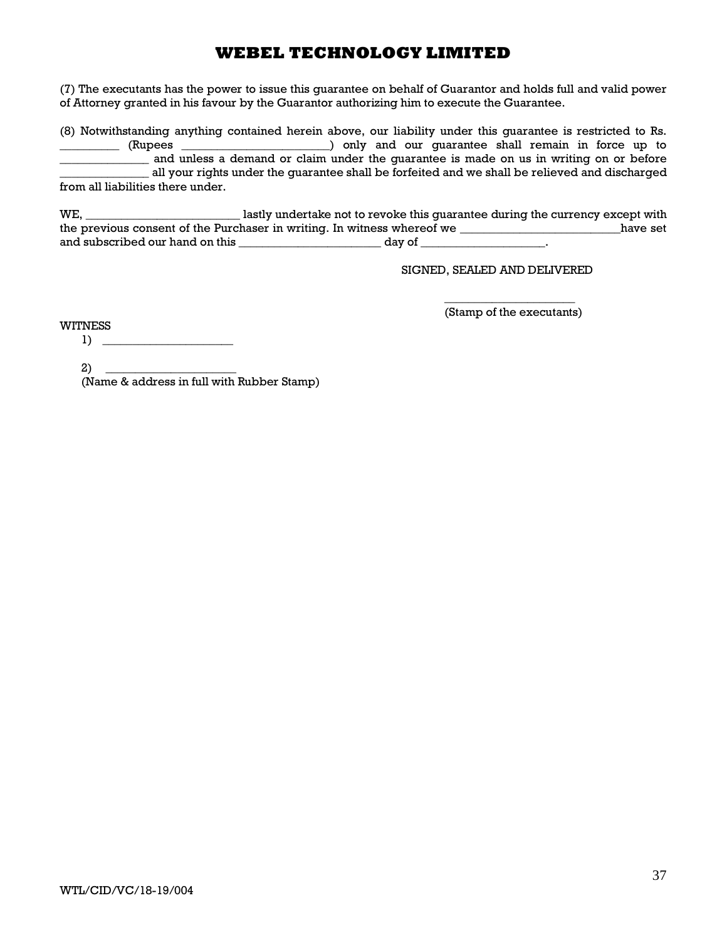(7) The executants has the power to issue this guarantee on behalf of Guarantor and holds full and valid power of Attorney granted in his favour by the Guarantor authorizing him to execute the Guarantee.

(8) Notwithstanding anything contained herein above, our liability under this guarantee is restricted to Rs. \_\_\_\_\_\_\_\_\_\_ (Rupees \_\_\_\_\_\_\_\_\_\_\_\_\_\_\_\_\_\_\_\_\_\_\_\_\_) only and our guarantee shall remain in force up to and unless a demand or claim under the guarantee is made on us in writing on or before \_\_\_\_\_\_\_\_\_\_\_\_\_\_\_ all your rights under the guarantee shall be forfeited and we shall be relieved and discharged from all liabilities there under.

WE, \_\_\_\_\_\_\_\_\_\_\_\_\_\_\_\_\_\_\_\_\_\_\_\_\_\_ lastly undertake not to revoke this guarantee during the currency except with the previous consent of the Purchaser in writing. In witness whereof we \_\_\_\_\_\_\_\_\_\_\_\_\_\_\_\_\_\_\_\_\_\_\_\_\_\_\_have set and subscribed our hand on this \_\_\_\_\_\_\_\_\_\_\_\_\_\_\_\_\_\_\_\_\_\_\_\_ day of \_\_\_\_\_\_\_\_\_\_\_\_\_\_\_\_\_\_\_\_\_.

SIGNED, SEALED AND DELIVERED

\_\_\_\_\_\_\_\_\_\_\_\_\_\_\_\_\_\_\_\_\_\_ (Stamp of the executants)

WITNESS

1) \_\_\_\_\_\_\_\_\_\_\_\_\_\_\_\_\_\_\_\_\_\_

 $2)$ 

(Name & address in full with Rubber Stamp)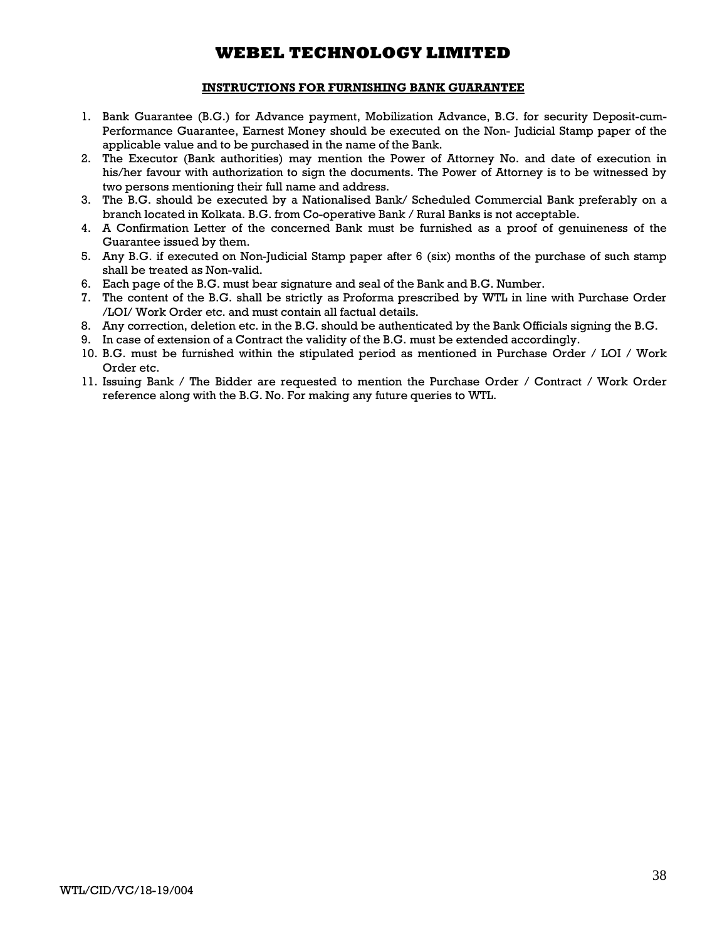### **INSTRUCTIONS FOR FURNISHING BANK GUARANTEE**

- 1. Bank Guarantee (B.G.) for Advance payment, Mobilization Advance, B.G. for security Deposit-cum-Performance Guarantee, Earnest Money should be executed on the Non- Judicial Stamp paper of the applicable value and to be purchased in the name of the Bank.
- 2. The Executor (Bank authorities) may mention the Power of Attorney No. and date of execution in his/her favour with authorization to sign the documents. The Power of Attorney is to be witnessed by two persons mentioning their full name and address.
- 3. The B.G. should be executed by a Nationalised Bank/ Scheduled Commercial Bank preferably on a branch located in Kolkata. B.G. from Co-operative Bank / Rural Banks is not acceptable.
- 4. A Confirmation Letter of the concerned Bank must be furnished as a proof of genuineness of the Guarantee issued by them.
- 5. Any B.G. if executed on Non-Judicial Stamp paper after 6 (six) months of the purchase of such stamp shall be treated as Non-valid.
- 6. Each page of the B.G. must bear signature and seal of the Bank and B.G. Number.
- 7. The content of the B.G. shall be strictly as Proforma prescribed by WTL in line with Purchase Order /LOI/ Work Order etc. and must contain all factual details.
- 8. Any correction, deletion etc. in the B.G. should be authenticated by the Bank Officials signing the B.G.
- 9. In case of extension of a Contract the validity of the B.G. must be extended accordingly.
- 10. B.G. must be furnished within the stipulated period as mentioned in Purchase Order / LOI / Work Order etc.
- 11. Issuing Bank / The Bidder are requested to mention the Purchase Order / Contract / Work Order reference along with the B.G. No. For making any future queries to WTL.